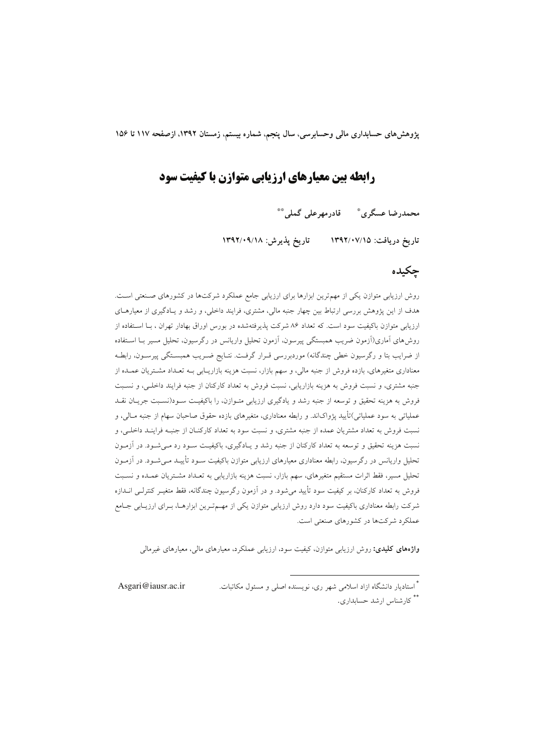یژوهش های حسابداری مالی وحسابرسی، سال ینجم، شماره بیستم، زمستان ۱۳۹۲، ازصفحه ۱۱۷ تا ۱۵۶

# رابطه بین معیارهای ارزیابی متوازن با کیفیت سود

محمدرضا عسگري ؓ قادرمهرعلي گملي ٌ ٌ

تاريخ دريافت: ١٣٩٢/٠٧/١٥ - تاريخ پذيرش: ١٣٩٢/٠٩/١٨

#### حكىدە

روش ارزیابی متوازن یکی از مهم ترین ابزارها برای ارزیابی جامع عملکرد شرکتها در کشورهای صنعتی است. هدف از این پژوهش بررسی ارتباط بین چهار جنبه مالی، مشتری، فرایند داخلی، و رشد و یـادگیری از معیارهـای ارزیابی متوازن باکیفیت سود است. که تعداد ۸۶ شرکت پذیرفتهشده در بورس اوراق بهادار تهران ، بـا اسـتفاده از روش،های آماری(آزمون ضریب همبستگی پیرسون، آزمون تحلیل واریانس در رگرسیون، تحلیل مسیر بــا اسـتفاده از ضرایب بتا و رگرسیون خطی چندگانه) موردبررسی قـرار گرفـت. نتـایج ضـریب همبسـتگی پیرسـون، رابطـه معناداری متغیرهای، بازده فروش از جنبه مالی، و سهم بازار، نسبت هزینه بازاریـابی بـه تعـداد مشـتریان عمـده از جنبه مشتری، و نسبت فروش به هزینه بازاریابی، نسبت فروش به تعداد کارکنان از جنبه فرایند داخلـی، و نسـبت فروش به هزینه تحقیق و توسعه از جنبه رشد و یادگیری ارزیابی متـوازن، را باکیفیـت سـود(نسـبت جریـان نقـد عملیاتی به سود عملیاتی)تأیید پژواکاند. و رابطه معناداری، متغیرهای بازده حقوق صاحبان سهام از جنبه مــالی، و نسبت فروش به تعداد مشتریان عمده از جنبه مشتری، و نسبت سود به تعداد کارکنـان از جنبـه فراینـد داخلـی، و .<br>نسبت هزینه تحقیق و توسعه به تعداد کارکنان از جنبه رشد و یـادگیری، باکیفیـت سـود رد مـیشـود. در آزمـون تحلیل واریانس در رگرسیون، رابطه معناداری معیارهای ارزیابی متوازن باکیفیت سـود تأییــد مـی شـود. در اَزمـون تحلیل مسیر، فقط اثرات مستقیم متغیرهای، سهم بازار، نسبت هزینه بازاریابی به تعـداد مشـتریان عمـده و نسـبت فروش به تعداد کارکنان، بر کیفیت سود تأیید می شود. و در آزمون رگرسیون چندگانه، فقط متغیـر کنترلـی انــدازه شرکت رابطه معناداری باکیفیت سود دارد روش ارزیابی متوازن یکی از مهـمتـرین ابزارهـا، بـرای ارزیـابی جـامع عملکرد شرکتها در کشورهای صنعتی است.

**واژههای کلیدی:** روش ارزیابی متوازن، کیفیت سود، ارزیابی عملکرد، معیارهای مالی، معیارهای غیرمالی

\* استادىار دانشگاه ازاد اسلامى شهر رى، نويسنده اصلى و مسئول مكاتبات. Asgari@iausr.ac.ir \*\* کارشناس ارشد حسابداری.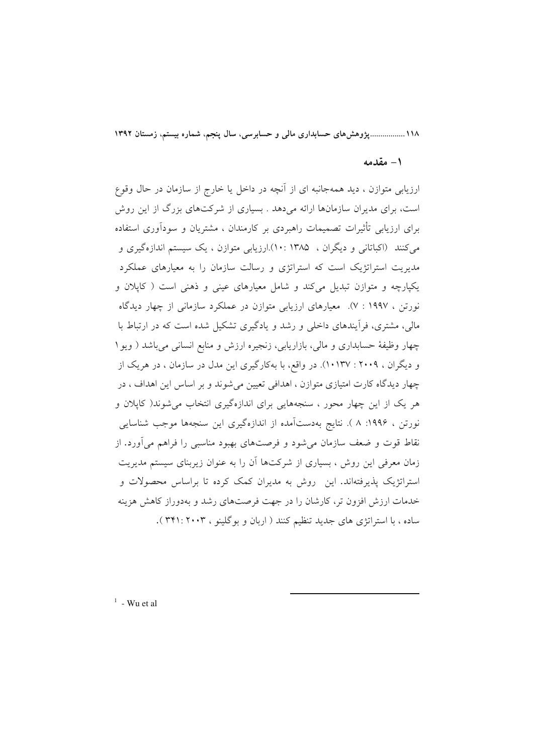١١٨.................يژوهش هاي حسابداري مالي و حسابرسي، سال ينجم، شماره بيستم، زمستان ١٣٩٢

#### ١- مقدمه

ارزیابی متوازن ، دید همهجانبه ای از اّنچه در داخل یا خارج از سازمان در حال وقوع است، برای مدیران سازمانها ارائه میدهد . بسیاری از شرکتهای بزرگ از این روش برای ارزیابی تأثیرات تصمیمات راهبردی بر کارمندان ، مشتریان و سودآوری استفاده می کنند (اکباتانی و دیگران ، ۱۳۸۵ : ۱۰).ارزیابی متوازن ، یک سیستم اندازهگیری و مدیریت استراتژیک است که استراتژی و رسالت سازمان را به معیارهای عملکرد یکپارچه و متوازن تبدیل میکند و شامل معیارهای عینی و ذهنی است ( کایلان و نورتن ، ۱۹۹۷ : ۷). معیارهای ارزیابی متوازن در عملکرد سازمانی از چهار دیدگاه مالی، مشتری، فرأیندهای داخلی و رشد و یادگیری تشکیل شده است که در ارتباط با چهار وظیفهٔ حسابداری و مالی، بازاریابی، زنجیره ارزش و منابع انسانی میباشد ( ویو ۱ و دیگران ، ۲۰۰۹ : ۱۰۱۳۷). در واقع، با بهکارگیری این مدل در سازمان ، در هریک از چهار دیدگاه کارت امتیازی متوازن ، اهدافی تعیین می شوند و بر اساس این اهداف ، در هر یک از این چهار محور ، سنجههایی برای اندازهگیری انتخاب می شوند( کاپلان و نورتن ، ۱۹۹۶: ۸ ). نتایج بهدستآمده از اندازهگیری این سنجهها موجب شناسایی نقاط قوت و ضعف سازمان میشود و فرصتهای بهبود مناسبی را فراهم میآورد. از زمان معرفی این روش ، بسیاری از شرکتها آن را به عنوان زیربنای سیستم مدیریت استراتژیک پذیرفتهاند. این روش به مدیران کمک کرده تا براساس محصولات و خدمات ارزش افزون تر، کارشان را در جهت فرصتهای رشد و بهدوراز کاهش هزینه ساده ، با استراتژی های جدید تنظیم کنند ( اربان و بوگلینو ، ۳۴۱: ۲۰۰۲ ).

 $1$  - Wu et al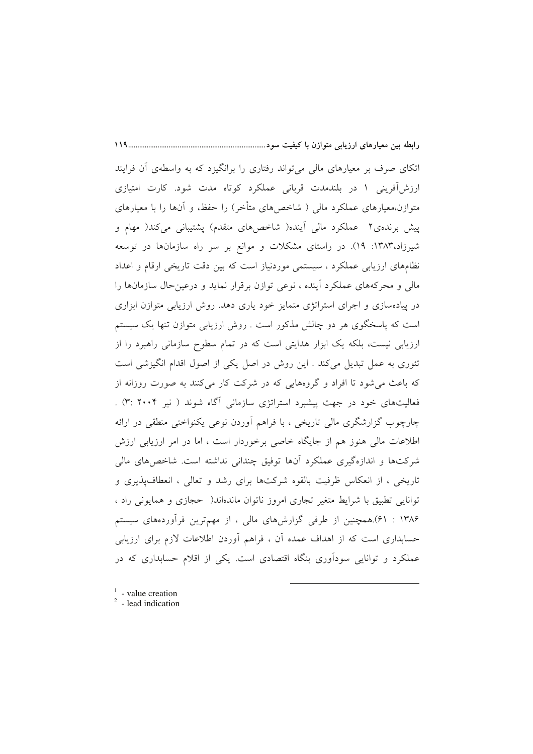اتکای صرف بر معیارهای مالی میٍ تواند رفتاری را برانگیزد که به واسطهی أن فرایند ارزش آفرینی ۱ در بلندمدت قربانی عملکرد کوتاه مدت شود. کارت امتیازی متوازن،معیارهای عملکرد مالی ( شاخص۵مای متأخر) را حفظ، و آنها را با معیارهای ییش برنده ی۲ عملکرد مالی آینده( شاخصهای متقدم) پشتیبانی میکند( مهام و شیرزاد،۱۳۸۳: ۱۹). در راستای مشکلات و موانع بر سر راه سازمانها در توسعه نظامهای ارزیابی عملکرد ، سیستمی موردنیاز است که بین دقت تاریخی ارقام و اعداد مالي و محركههاي عملكرد آينده ، نوعي توازن برقرار نمايد و درعين حال سازمانها را در پیادهسازی و اجرای استراتژی متمایز خود یاری دهد. روش ارزیابی متوازن ابزاری است که پاسخگوی هر دو چالش مذکور است . روش ارزیابی متوازن تنها یک سیستم ارزیابی نیست، بلکه یک ابزار هدایتی است که در تمام سطوح سازمانی راهبرد را از تئوری به عمل تبدیل میکند . این روش در اصل یکی از اصول اقدام انگیزشی است که باعث می شود تا افراد و گروههایی که در شرکت کار میکنند به صورت روزانه از فعالیتهای خود در جهت پیشبرد استراتژی سازمانی آگاه شوند ( نیر ۲۰۰۴ :۳) . چارچوب گزارشگری مالی تاریخی ، با فراهم أوردن نوعی یکنواختی منطقی در ارائه اطلاعات مالی هنوز هم از جایگاه خاصی برخوردار است ، اما در امر ارزیابی ارزش شرکتها و اندازهگیری عملکرد آنها توفیق چندانی نداشته است. شاخص های مالی تاریخی ، از انعکاس ظرفیت بالقوه شرکتها برای رشد و تعالی ، انعطاف یذیری و توانایی تطبیق با شرایط متغیر تجاری امروز ناتوان ماندهاند( حجازی و همایونی راد ، ۱۳۸۶ : ۶۱).همچنین از طرفی گزارشهای مالی ، از مهمترین فرآوردههای سیستم حسابداری است که از اهداف عمده آن ، فراهم آوردن اطلاعات لازم برای ارزیابی عملکرد و توانایی سودآوری بنگاه اقتصادی است. یکی از اقلام حسابداری که در

 $1$  - value creation

 $119$ 

 $2$  - lead indication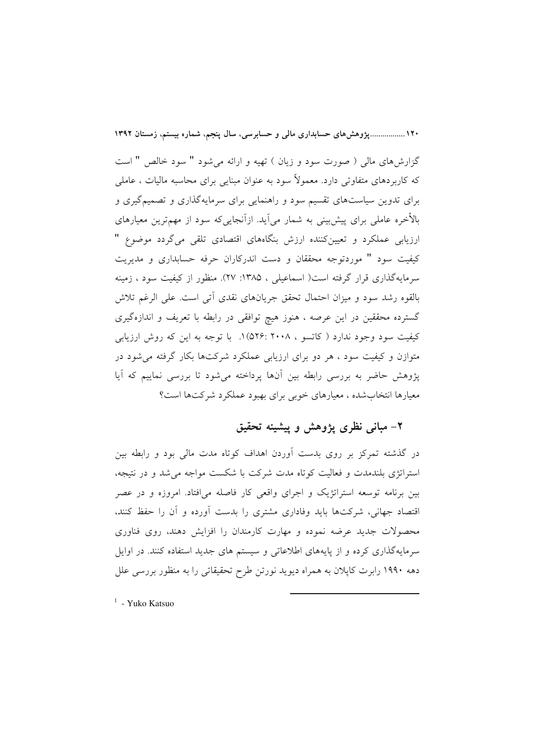۱۲۰ ...................یژوهش های حسابداری مالی و حسابرسی، سال ینجم، شماره بیستم، زمستان ۱۳۹۲

گزارش های مالی ( صورت سود و زیان ) تهیه و ارائه می شود " سود خالص " است که کاربردهای متفاوتی دارد. معمولاً سود به عنوان مبنایی برای محاسبه مالیات ، عاملی برای تدوین سیاستهای تقسیم سود و راهنمایی برای سرمایهگذاری و تصمیمگیری و بالأخره عاملی برای پیش بینی به شمار می]ید. ازآنجایی که سود از مهمترین معیارهای ارزیابی عملکرد و تعیینکننده ارزش بنگاههای اقتصادی تلقی میگردد موضوع " کیفیت سود " موردتوجه محققان و دست اندرکاران حرفه حسابداری و مدیریت سرمایهگذاری قرار گرفته است( اسماعیلی ، ۱۳۸۵: ۲۷). منظور از کیفیت سود ، زمینه بالقوه رشد سود و ميزان احتمال تحقق جريانهاي نقدي أتى است. على الرغم تلاش گسترده محققین در این عرصه ، هنوز هیچ توافقی در رابطه با تعریف و اندازهگیری کیفیت سود وجود ندارد ( کاتسو ، ۲۰۰۸ :۵۲۶) ۱. با توجه به این که روش ارزیابی متوازن و کیفیت سود ، هر دو برای ارزیابی عملکرد شرکتها بکار گرفته می شود در پژوهش حاضر به بررسی رابطه بین آنها پرداخته میشود تا بررسی نماییم که آیا معیارها انتخابشده ، معیارهای خوبی برای بهبود عملکرد شرکتها است؟

### ۲- مباني نظري پژوهش و پيشينه تحقيق

در گذشته تمرکز بر روی بدست آوردن اهداف کوتاه مدت مالی بود و رابطه بین استراتژی بلندمدت و فعالیت کوتاه مدت شرکت با شکست مواجه میشد و در نتیجه، بین برنامه توسعه استراتژیک و اجرای واقعی کار فاصله میافتاد. امروزه و در عصر اقتصاد جهانی، شرکتها باید وفاداری مشتری را بدست آورده و آن را حفظ کنند، محصولات جدید عرضه نموده و مهارت کارمندان را افزایش دهند، روی فناوری سرمایهگذاری کرده و از پایههای اطلاعاتی و سیستم های جدید استفاده کنند. در اوایل دهه ۱۹۹۰ رابرت کاپلان به همراه دیوید نورتن طرح تحقیقاتی را به منظور بررسی علل

<sup>1</sup> - Yuko Katsuo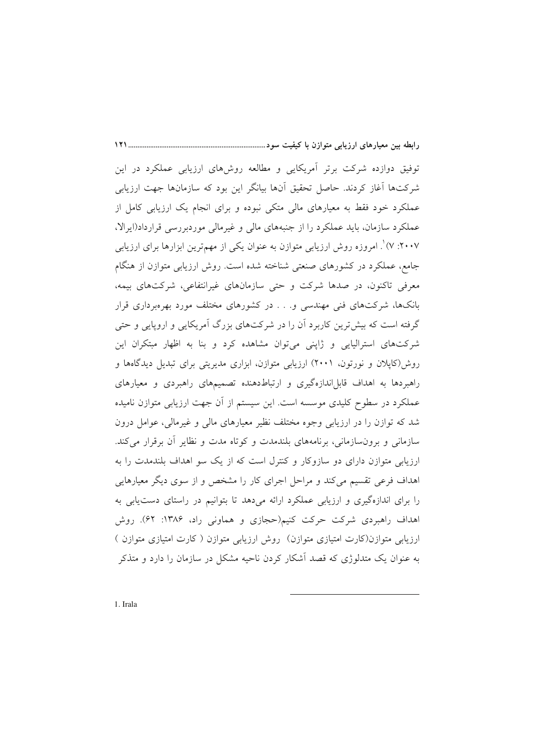توفیق دوازده شرکت برتر أمریکایی و مطالعه روشهای ارزیابی عملکرد در این شرکتها آغاز کردند. حاصل تحقیق آنها بیانگر این بود که سازمانها جهت ارزیابی عملکرد خود فقط به معیارهای مالی متکی نبوده و برای انجام یک ارزیابی کامل از عملکرد سازمان، باید عملکرد را از جنبههای مالی و غیرمالی موردبررسی قرارداد(ایرالا، ۲۰۰۷: ۷) ْ. امروزه روش ارزیابی متوازن به عنوان یکی از مهمترین ابزارها برای ارزیابی جامع، عملکرد در کشورهای صنعتی شناخته شده است. روش ارزیابی متوازن از هنگام معرفی تاکنون، در صدها شرکت و حتی سازمانهای غیرانتفاعی، شرکتهای بیمه، بانکها، شرکتهای فنی مهندسی و. . . در کشورهای مختلف مورد بهرهبرداری قرار گرفته است که بیش ترین کاربرد اَن را در شرکتهای بزرگ اَمریکایی و اروپایی و حتی شرکتهای استرالیایی و ژاپنی میتوان مشاهده کرد و بنا به اظهار مبتکران این روش(کاپلان و نورتون، ۲۰۰۱) ارزیابی متوازن، ابزاری مدیریتی برای تبدیل دیدگاهها و راهبردها به اهداف قابلاندازهگیری و ارتباطدهنده تصمیمهای راهبردی و معیارهای عملکرد در سطوح کلیدی موسسه است. این سیستم از آن جهت ارزیابی متوازن نامیده شد که توازن را در ارزیابی وجوه مختلف نظیر معیارهای مالی و غیرمالی، عوامل درون سازمانی و برون سازمانی، برنامههای بلندمدت و کوتاه مدت و نظایر آن برقرار می کند. ارزیابی متوازن دارای دو سازوکار و کنترل است که از یک سو اهداف بلندمدت را به اهداف فرعی تقسیم میکند و مراحل اجرای کار را مشخص و از سوی دیگر معیارهایی را برای اندازهگیری و ارزیابی عملکرد ارائه میدهد تا بتوانیم در راستای دست یابی به اهداف راهبردی شرکت حرکت کنیم(حجازی و هماونی راد، ۱۳۸۶: ۶۲). روش ارزیابی متوازن(کارت امتیازی متوازن) روش ارزیابی متوازن ( کارت امتیازی متوازن ) به عنوان یک متدلوژی که قصد اَشکار کردن ناحیه مشکل در سازمان را دارد و متذکر

1. Irala

 $111$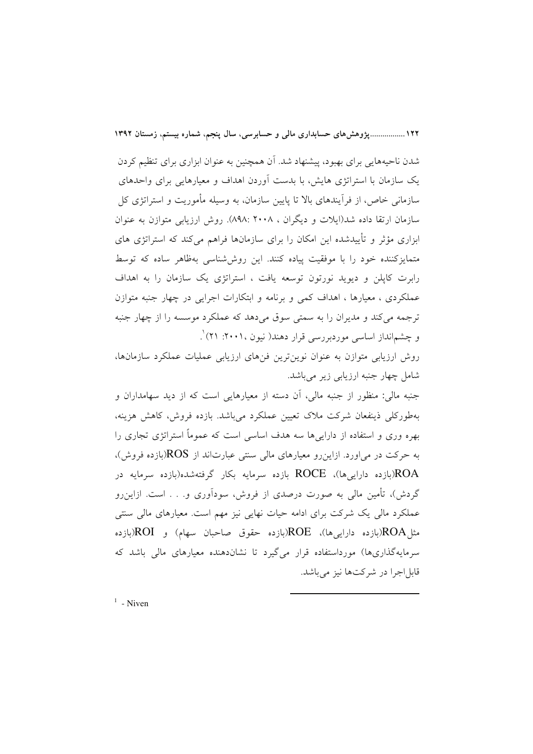١٢٢..................يژوهشهاي حسابداري مالي و حسابرسي، سال ينجم، شماره بيستم، زمستان ١٣٩٢

شدن ناحیههایی برای بهبود، پیشنهاد شد. آن همچنین به عنوان ابزاری برای تنظیم کردن یک سازمان با استراتژی هایش، با بدست آوردن اهداف و معیارهایی برای واحدهای سازمانی خاص، از فرآیندهای بالا تا پایین سازمان، به وسیله مأموریت و استراتژی کل سازمان ارتقا داده شد(ایلات و دیگران ، ۲۰۰۸ :۸۹۸). روش ارزیابی متوازن به عنوان ابزاری مؤثر و تأییدشده این امکان را برای سازمانها فراهم می کند که استراتژی های متمایزکننده خود را با موفقیت پیاده کنند. این روش شناسی بهظاهر ساده که توسط رابرت کاپلن و دیوید نورتون توسعه یافت ، استراتژی یک سازمان را به اهداف عملکردی ، معیارها ، اهداف کمی و برنامه و ابتکارات اجرایی در چهار جنبه متوازن ترجمه مي كند و مديران را به سمتي سوق مي دهد كه عملكرد موسسه را از چهار جنبه و چشم|نداز اساسی موردبررسی قرار دهند( نیون ۲۰۰۱: ۲۱) ْ.

روش ارزیابی متوازن به عنوان نوینترین فنهای ارزیابی عملیات عملکرد سازمانها، شامل چهار جنبه ارزیابی زیر میباشد.

جنبه مالی: منظور از جنبه مالی، آن دسته از معیارهایی است که از دید سهامداران و بهطورکلی ذینفعان شرکت ملاک تعیین عملکرد میباشد. بازده فروش، کاهش هزینه، بهره وری و استفاده از داراییها سه هدف اساسی است که عموماً استراتژی تجاری را به حرکت در می|ورد. ازاین٫رو معیارهای مالی سنتی عبارتاند از ROS(بازده فروش)، ROA(بازده داراییها)، ROCE بازده سرمایه بکار گرفتهشده(بازده سرمایه در گردش)، تأمین مالی به صورت درصدی از فروش، سودآوری و. . . است. ازاین٫رو عملکرد مالی یک شرکت برای ادامه حیات نهایی نیز مهم است. معیارهای مالی سنتی مثل،ROA(بازده داراییها)، ROE(بازده حقوق صاحبان سهام) و ROI(بازده سرمایهگذاریها) مورداستفاده قرار میگیرد تا نشاندهنده معیارهای مالی باشد که قابل اجرا در شركتها نيز مي باشد.

 $1$  - Niven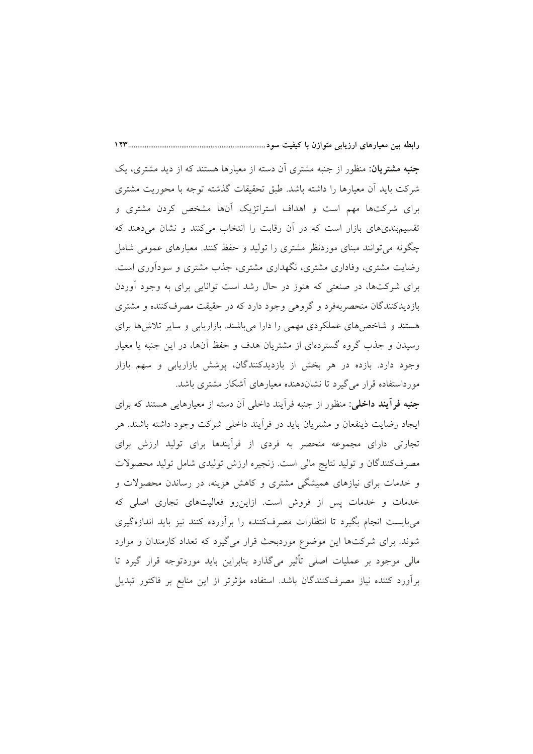**جنبه مشتریان**: منظور از جنبه مشتری أن دسته از معیارها هستند که از دید مشتری، یک شرکت باید اّن معیارها را داشته باشد. طبق تحقیقات گذشته توجه با محوریت مشتری برای شرکتها مهم است و اهداف استراتژیک آنها مشخص کردن مشتری و تقسیم.بندیهای بازار است که در آن رقابت را انتخاب میکنند و نشان میدهند که چگونه میتوانند مبنای موردنظر مشتری را تولید و حفظ کنند. معیارهای عمومی شامل رضایت مشتری، وفاداری مشتری، نگهداری مشتری، جذب مشتری و سودآوری است. برای شرکتها، در صنعتی که هنوز در حال رشد است توانایی برای به وجود آوردن بازدیدکنندگان منحصربهفرد و گروهی وجود دارد که در حقیقت مصرفکننده و مشتری هستند و شاخصهای عملکردی مهمی را دارا میباشند. بازاریابی و سایر تلاشها برای رسیدن و جذب گروه گستردهای از مشتریان هدف و حفظ آنها، در این جنبه یا معیار وجود دارد. بازده در هر بخش از بازدیدکنندگان، پوشش بازاریابی و سهم بازار مورداستفاده قرار می گیرد تا نشاندهنده معیارهای آشکار مشتری باشد.

 $15<sup>2</sup>$ 

**جنبه فرأيند داخلي:** منظور از جنبه فرأيند داخلي أن دسته از معيارهايي هستند كه براي ایجاد رضایت ذینفعان و مشتریان باید در فرأیند داخلی شرکت وجود داشته باشند. هر تجارتی دارای مجموعه منحصر به فردی از فراًیندها برای تولید ارزش برای مصرفکنندگان و تولید نتایج مالی است. زنجیره ارزش تولیدی شامل تولید محصولات و خدمات برای نیازهای همیشگی مشتری و کاهش هزینه، در رساندن محصولات و خدمات و خدمات پس از فروش است. ازاین رو فعالیتهای تجاری اصلی که میبایست انجام بگیرد تا انتظارات مصرفکننده را برأورده کنند نیز باید اندازهگیری شوند. برای شرکتها این موضوع موردبحث قرار میگیرد که تعداد کارمندان و موارد مالی موجود بر عملیات اصلی تأثیر میگذارد بنابراین باید موردتوجه قرار گیرد تا برأورد كننده نياز مصرفكنندگان باشد. استفاده مؤثرتر از اين منابع بر فاكتور تبديل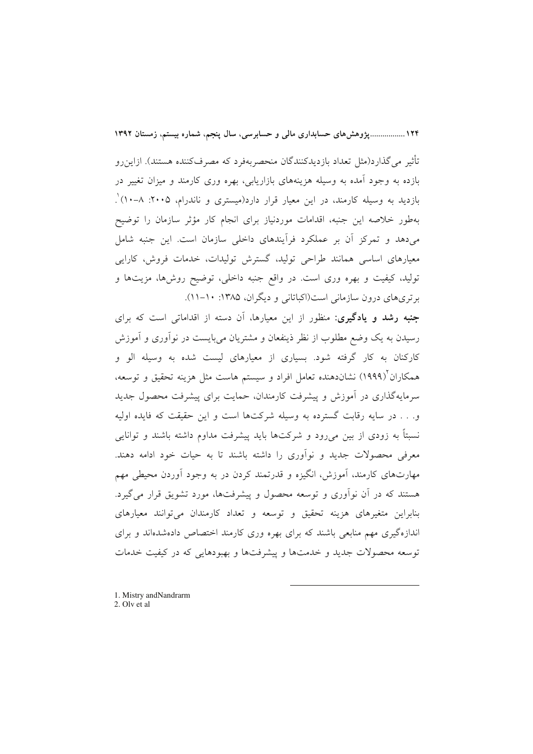۱۲۴ ...................یژوهش های حسابداری مالی و حسابرسی، سال ینجم، شماره بیستم، زمستان ۱۳۹۲

تأثير مي گذار د(مثل تعداد بازديدكنندگان منحصربهفر د كه مصر فكننده هستند). ازاين رو بازده به وجود أمده به وسیله هزینههای بازاریابی، بهره وری کارمند و میزان تغییر در بازدید به وسیله کارمند، در این معیار قرار دارد(میستری و ناندرام، ۲۰۰۵: ۸–۱۰) ْ. بهطور خلاصه این جنبه، اقدامات موردنیاز برای انجام کار مؤثر سازمان را توضیح می،دهد و تمرکز آن بر عملکرد فرآیندهای داخلی سازمان است. این جنبه شامل معیارهای اساسی همانند طراحی تولید، گسترش تولیدات، خدمات فروش، کارایی تولید، کیفیت و بهره وری است. در واقع جنبه داخلی، توضیح روشها، مزیتها و برتري هاي درون سازماني است(اكباتاني و ديگران، ۱۳۸۵: ۱۰-۱۱).

جنبه رشد و یادگیری: منظور از این معیارها، آن دسته از اقداماتی است که برای رسیدن به یک وضع مطلوب از نظر ذینفعان و مشتریان میبایست در نوآوری و آموزش کارکنان به کار گرفته شود. بسیاری از معیارهای لیست شده به وسیله الو و همکاران (۱۹۹۹) نشاندهنده تعامل افراد و سیستم هاست مثل هزینه تحقیق و توسعه، سرمایهگذاری در آموزش و پیشرفت کارمندان، حمایت برای پیشرفت محصول جدید و. . . در سایه رقابت گسترده به وسیله شرکتها است و این حقیقت که فایده اولیه نسبتاً به زودی از بین می٫ود و شرکتها باید پیشرفت مداوم داشته باشند و توانایی معرفی محصولات جدید و نوآوری را داشته باشند تا به حیات خود ادامه دهند. مهارتهای کارمند، آموزش، انگیزه و قدرتمند کردن در به وجود آوردن محیطی مهم هستند که در أن نوأوری و توسعه محصول و پیشرفتها، مورد تشویق قرار میگیرد. بنابراین متغیرهای هزینه تحقیق و توسعه و تعداد کارمندان میتوانند معیارهای اندازهگیری مهم منابعی باشند که برای بهره وری کارمند اختصاص دادهشدهاند و برای توسعه محصولات جدید و خدمتها و پیشرفتها و بهبودهایی که در کیفیت خدمات

1. Mistry and Nandrarm 2. Oly et al.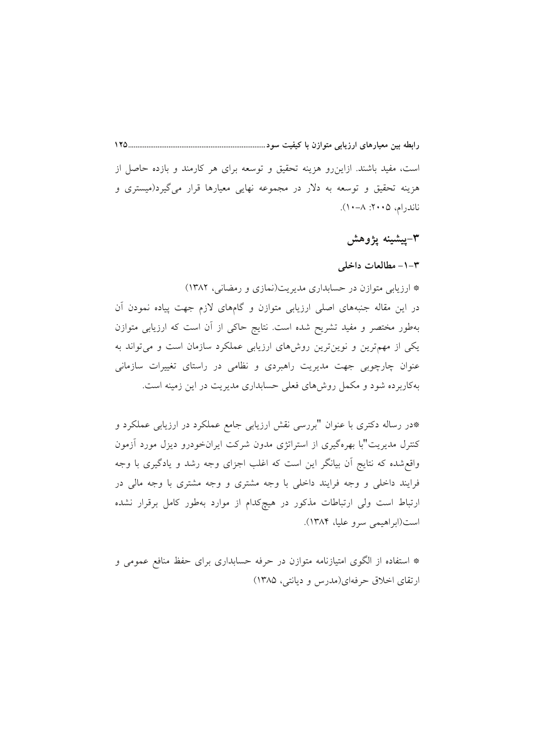است، مفید باشند. ازاین٫رو هزینه تحقیق و توسعه برای هر کارمند و بازده حاصل از هزینه تحقیق و توسعه به دلار در مجموعه نهایی معیارها قرار میگیرد(میستری و ناندرام، ۲۰۰۵: ۸–۱۰).

## ۳–پیشینه پژوهش

#### ۰۱–۳ مطالعات داخلی

\* ارزیابی متوازن در حسابداری مدیریت(نمازی و رمضانی، ۱۳۸۲) در این مقاله جنبههای اصلی ارزیابی متوازن و گامهای لازم جهت پیاده نمودن اَن بهطور مختصر و مفید تشریح شده است. نتایج حاکی از آن است که ارزیابی متوازن یکی از مهمترین و نوینترین روشهای ارزیابی عملکرد سازمان است و میتواند به عنوان چارچوبی جهت مدیریت راهبردی و نظامی در راستای تغییرات سازمانی بهکاربرده شود و مکمل روشهای فعلی حسابداری مدیریت در این زمینه است.

\*در رساله دکتری با عنوان "بررسی نقش ارزیابی جامع عملکرد در ارزیابی عملکرد و کنترل مدیریت"با بهرهگیری از استراتژی مدون شرکت ایرانخودرو دیزل مورد آزمون واقع شده که نتایج آن بیانگر این است که اغلب اجزای وجه رشد و یادگیری با وجه فرایند داخلی و وجه فرایند داخلی با وجه مشتری و وجه مشتری با وجه مالی در ارتباط است ولی ارتباطات مذکور در هیچکدام از موارد بهطور کامل برقرار نشده است(ابراهيمي سرو عليا، ١٣٨۴).

\* استفاده از الگوی امتیازنامه متوازن در حرفه حسابداری برای حفظ منافع عمومی و ارتقای اخلاق حرفهای(مدرس و دیانتی، ۱۳۸۵)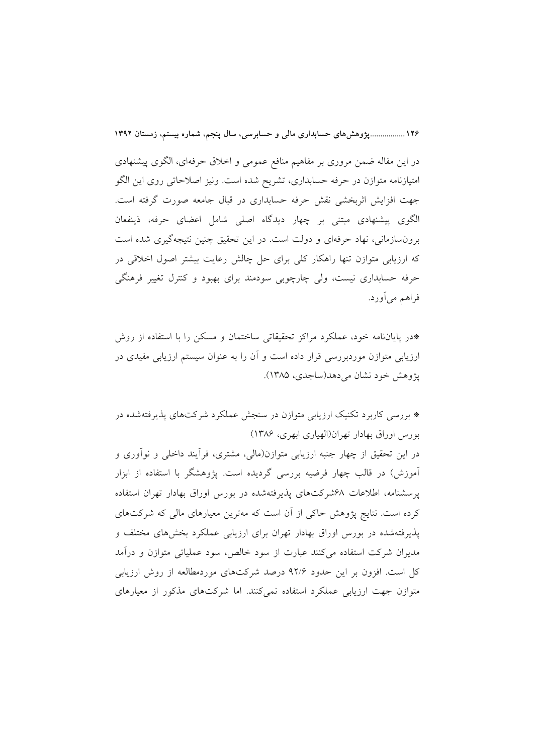۱۲۶..................یژوهش های حسابداری مالی و حسابرسی، سال ینجم، شماره بیستم، زمستان ۱۳۹۲

در این مقاله ضمن مروری بر مفاهیم منافع عمومی و اخلاق حرفهای، الگوی پیشنهادی امتیازنامه متوازن در حرفه حسابداری، تشریح شده است. ونیز اصلاحاتی روی این الگو جهت افزایش اثربخشی نقش حرفه حسابداری در قبال جامعه صورت گرفته است. الگوی پیشنهادی مبتنی بر چهار دیدگاه اصلی شامل اعضای حرفه، ذینفعان برونسازمانی، نهاد حرفهای و دولت است. در این تحقیق چنین نتیجهگیری شده است که ارزیابی متوازن تنها راهکار کلی برای حل چالش رعایت بیشتر اصول اخلاقی در حرفه حسابداری نیست، ولی چارچوبی سودمند برای بهبود و کنترل تغییر فرهنگی فراهم ميأورد.

\*در پایاننامه خود، عملکرد مراکز تحقیقاتی ساختمان و مسکن را با استفاده از روش ارزیابی متوازن موردبررسی قرار داده است و آن را به عنوان سیستم ارزیابی مفیدی در پژوهش خود نشان می دهد(ساجدی، ۱۳۸۵).

\* بررسی کاربرد تکنیک ارزیابی متوازن در سنجش عملکرد شرکتهای پذیرفتهشده در بورس اوراق بهادار تهران(الهياري ابهري، ١٣٨۶)

در این تحقیق از چهار جنبه ارزیابی متوازن(مالی، مشتری، فرأیند داخلی و نوأوری و آموزش) در قالب چهار فرضیه بررسی گردیده است. پژوهشگر با استفاده از ابزار یرسشنامه، اطلاعات ۶۸شرکتهای پذیرفتهشده در بورس اوراق بهادار تهران استفاده کرده است. نتایج پژوهش حاکی از آن است که مهترین معیارهای مالی که شرکتهای یذیرفتهشده در بورس اوراق بهادار تهران برای ارزیابی عملکرد بخشهای مختلف و مدیران شرکت استفاده میکنند عبارت از سود خالص، سود عملیاتی متوازن و درآمد کل است. افزون بر این حدود ۹۲/۶ درصد شرکتهای موردمطالعه از روش ارزیابی متوازن جهت ارزیابی عملکرد استفاده نمی کنند. اما شرکتهای مذکور از معیارهای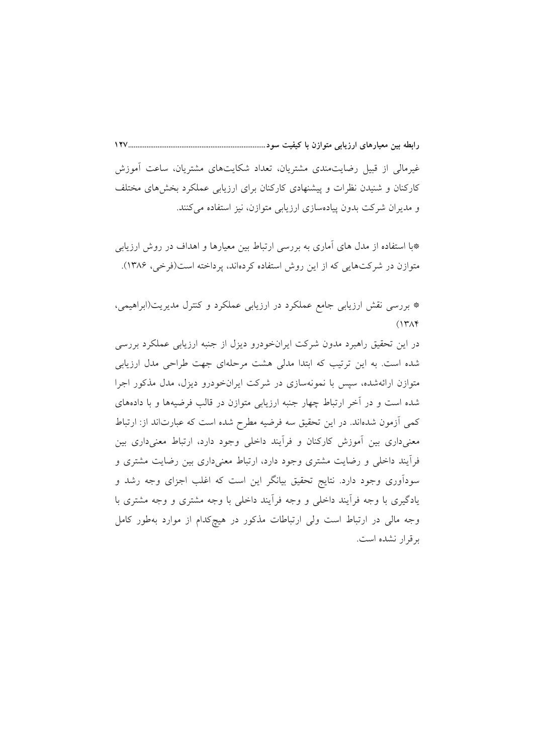غیرمالی از قبیل رضایتمندی مشتریان، تعداد شکایتهای مشتریان، ساعت أموزش کارکنان و شنیدن نظرات و پیشنهادی کارکنان برای ارزیابی عملکرد بخشهای مختلف و مدیران شرکت بدون پیادهسازی ارزیابی متوازن، نیز استفاده میکنند.

\*با استفاده از مدل های آماری به بررسی ارتباط بین معیارها و اهداف در روش ارزیابی متوازن در شرکتهایی که از این روش استفاده کردهاند، پرداخته است(فرخی، ۱۳۸۶).

\* بررسی نقش ارزیابی جامع عملکرد در ارزیابی عملکرد و کنترل مدیریت(ابراهیمی،  $(14A)$ 

در این تحقیق راهبرد مدون شرکت ایرانخودرو دیزل از جنبه ارزیابی عملکرد بررسی شده است. به این ترتیب که ابتدا مدلی هشت مرحلهای جهت طراحی مدل ارزیابی متوازن ارائهشده، سپس با نمونهسازی در شرکت ایرانخودرو دیزل، مدل مذکور اجرا شده است و در آخر ارتباط چهار جنبه ارزیابی متوازن در قالب فرضیهها و با دادههای کمی اَزمون شدهاند. در این تحقیق سه فرضیه مطرح شده است که عبارتاند از: ارتباط معنیداری بین آموزش کارکنان و فرآیند داخلی وجود دارد، ارتباط معنیداری بین فرآیند داخلی و رضایت مشتری وجود دارد، ارتباط معنیداری بین رضایت مشتری و سودآوری وجود دارد. نتایج تحقیق بیانگر این است که اغلب اجزای وجه رشد و یادگیری با وجه فرأیند داخلی و وجه فرأیند داخلی با وجه مشتری و وجه مشتری با وجه مالی در ارتباط است ولی ارتباطات مذکور در هیچکدام از موارد بهطور کامل برقرار نشده است.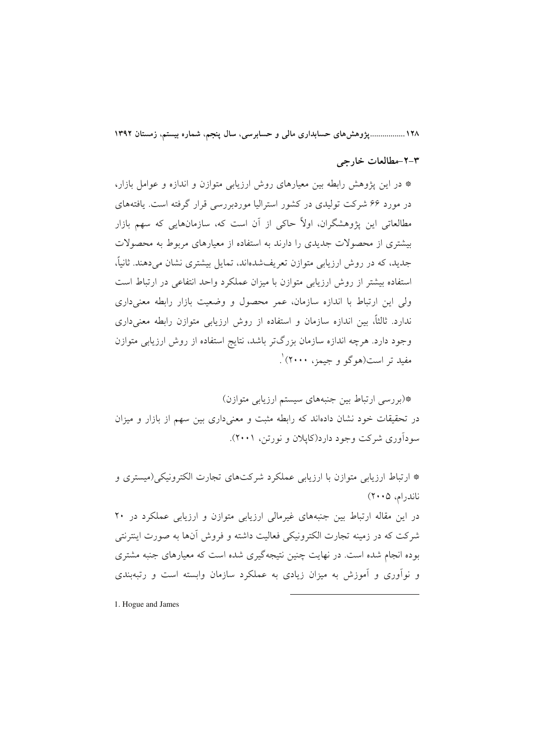۱۲۸ ................. پژوهش های حسابداری مالی و حسابرسی، سال پنجم، شماره بیستم، زمستان ۱۳۹۲

#### ٢-٢-مطالعات خارجي

\* در این یژوهش رابطه بین معیارهای روش ارزیابی متوازن و اندازه و عوامل بازار، در مورد ۶۶ شرکت تولیدی در کشور استرالیا موردبررسی قرار گرفته است. یافتههای مطالعاتی این پژوهشگران، اولاً حاکی از آن است که، سازمانهایی که سهم بازار بیشتری از محصولات جدیدی را دارند به استفاده از معیارهای مربوط به محصولات جدید، که در روش ارزیابی متوازن تعریفشدهاند، تمایل پیشتری نشان می دهند. ثانیاً، استفاده بیشتر از روش ارزیابی متوازن با میزان عملکرد واحد انتفاعی در ارتباط است ولی این ارتباط با اندازه سازمان، عمر محصول و وضعیت بازار رابطه معنیداری ندارد. ثالثاً، بین اندازه سازمان و استفاده از روش ارزیابی متوازن رابطه معنیداری وجود دارد. هرچه اندازه سازمان بزرگتر باشد، نتایج استفاده از روش ارزیابی متوازن مفید تر است(هوگو و جیمز، ۲۰۰۰) ْ.

\*(بررسی ارتباط بین جنبههای سیستم ارزیابی متوازن) در تحقیقات خود نشان دادهاند که رابطه مثبت و معنیداری بین سهم از بازار و میزان سودآوري شرکت وجود دارد(کاپلان و نورتن، ۲۰۰۱).

\* ارتباط ارزیابی متوازن با ارزیابی عملکرد شرکتهای تجارت الکترونیکی(میستری و  $(Y \cdot \alpha, \alpha)$ ناندرام، در این مقاله ارتباط بین جنبههای غیرمالی ارزیابی متوازن و ارزیابی عملکرد در ۲۰ شرکت که در زمینه تجارت الکترونیکی فعالیت داشته و فروش آنها به صورت اینترنتی بوده انجام شده است. در نهایت چنین نتیجهگیری شده است که معیارهای جنبه مشتری و نوآوری و آموزش به میزان زیادی به عملکرد سازمان وابسته است و رتبهبندی

1. Hogue and James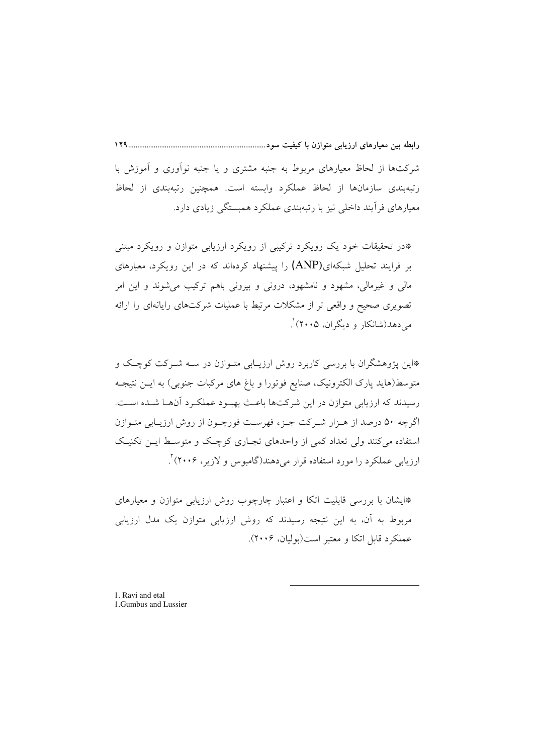رابطه بین معیارهای ارزیابی متوازن با کیفیت سود...................................

شرکتها از لحاظ معیارهای مربوط به جنبه مشتری و یا جنبه نوآوری و آموزش با رتبهبندی سازمانها از لحاظ عملکرد وابسته است. همچنین رتبهبندی از لحاظ معیارهای فرآیند داخلی نیز با رتبهبندی عملکرد همبستگی زیادی دارد.

\*در تحقیقات خود یک رویکرد ترکیبی از رویکرد ارزیابی متوازن و رویکرد مبتنی بر فرایند تحلیل شبکهای(ANP) را پیشنهاد کردهاند که در این رویکرد، معیارهای مالي و غيرمالي، مشهود و نامشهود، دروني و بيروني باهم ترکيب مي شوند و اين امر تصویری صحیح و واقعی تر از مشکلات مرتبط با عملیات شرکتهای رایانهای را ارائه مي دهد(شانكار و ديگران، ۲۰۰۵) ْ.

\*این پژوهشگران با بررسی کاربرد روش ارزیـابی متـوازن در سـه شــرکت کوچـک و متوسط(هاید پارک الکترونیک، صنایع فوتورا و باغ های مرکبات جنوبی) به ایــن نتیجــه رسیدند که ارزیابی متوازن در این شرکتها باعث بهبود عملکرد آنها شـده اسـت. اگرچه ۵۰ درصد از هـزار شـرکت جـزء فهرسـت فورچـون از روش ارزيـابي متـوازن استفاده می کنند ولی تعداد کمی از واحدهای تجـاری کوچـک و متوسـط ایــن تکنیـک ارزیابی عملکرد را مورد استفاده قرار می دهند(گامبوس و لازیر، ۲۰۰۶) ٌ.

\*ایشان با بررسی قابلیت اتکا و اعتبار چارچوب روش ارزیابی متوازن و معیارهای مربوط به آن، به این نتیجه رسیدند که روش ارزیابی متوازن یک مدل ارزیابی عملكرد قابل اتكا و معتبر است(بوليان، ٢٠٠۶).

1. Ravi and etal 1.Gumbus and Lussier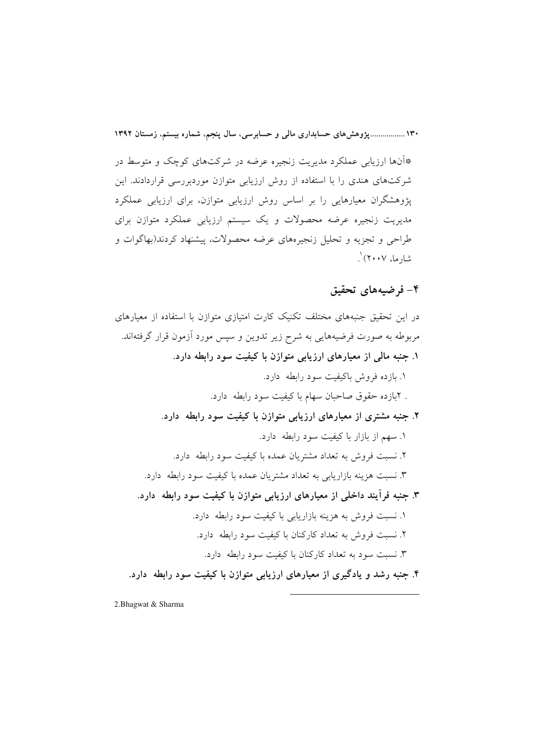۱۳۰ ....................وژوهشهای حسابداری مالی و حسابرسی، سال پنجم، شماره بیستم، زمستان ۱۳۹۲

\*آنها ارزیابی عملکرد مدیریت زنجیره عرضه در شرکتهای کوچک و متوسط در شرکتهای هندی را با استفاده از روش ارزیابی متوازن موردبررسی قراردادند. این یژوهشگران معیارهایی را بر اساس روش ارزیابی متوازن، برای ارزیابی عملکرد مدیریت زنجیره عرضه محصولات و یک سیستم ارزیابی عملکرد متوازن برای طراحي و تجزيه و تحليل زنجيرههاي عرضه محصولات، پيشنهاد كردند(بهاگوات و شارما، ۲۰۰۷) ۱

#### ۴– فرضیههای تحقیق

در این تحقیق جنبههای مختلف تکنیک کارت امتیازی متوازن با استفاده از معبارهای مربوطه به صورت فرضیههایی به شرح زیر تدوین و سپس مورد آزمون قرار گرفتهاند. ۱. جنبه مالی از معیارهای ارزیابی متوازن با کیفیت سود رابطه دارد. ١. بازده فروش باكيفيت سود رابطه دارد. . ٢بازده حقوق صاحبان سهام با كيفيت سود رابطه دارد. ۲. جنبه مشتری از معیارهای ارزیابی متوازن با کیفیت سود رابطه ً دارد. ١. سهم از بازار با کیفیت سود رابطه دارد. ۲. نسبت فروش به تعداد مشتریان عمده با کیفیت سود رابطه ً دارد. ۳. نسبت هزینه بازاریابی به تعداد مشتریان عمده با کیفیت سود رابطه دارد. ۳. جنبه فرآیند داخلی از معیارهای ارزیابی متوازن با کیفیت سود رابطه ً دارد. ۱. نسبت فروش به هزینه بازاریابی با کیفیت سود رابطه ً دارد. ۲. نسبت فروش به تعداد کارکنان با کیفیت سود رابطه ً دارد. ۳. نسبت سود به تعداد کارکنان با کیفیت سود رابطه دارد. ۴. جنبه رشد و یادگیری از معیارهای ارزیابی متوازن با کیفیت سود رابطه ً دارد.

2.Bhagwat & Sharma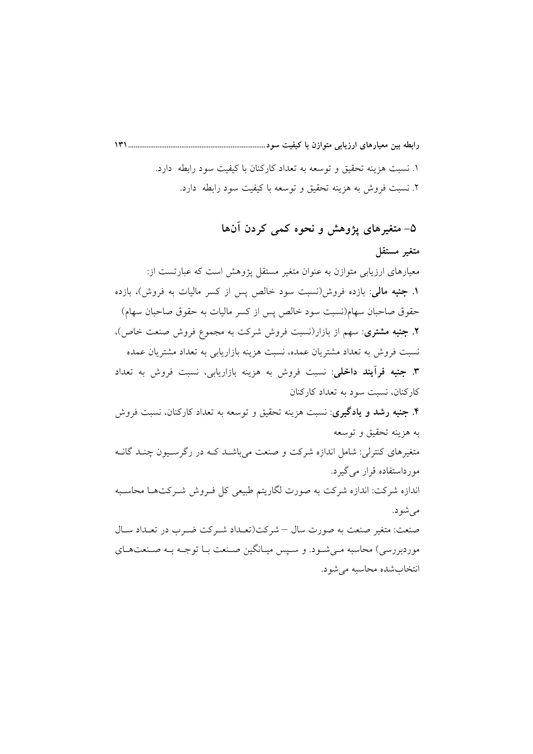۱. نسبت هزینه تحقیق و توسعه به تعداد کارکنان با کیفیت سود رابطه دارد. ۲. نسبت فروش به هزینه تحقیق و توسعه با کیفیت سود رابطه ً دارد.

# ۵– متغیرهای پژوهش و نحوه کمی کردن آنها متغير مستقل معیارهای ارزیابی متوازن به عنوان متغیر مستقل پژوهش است که عبارتست از: ۱. جنبه مالی: بازده فروش(نسبت سود خالص پس از کسر مالیات به فروش)، بازده حقوق صاحبان سهام(نسبت سود خالص پس از کسر مالیات به حقوق صاحبان سهام) ۲. جنبه مشتری: سهم از بازار(نسبت فروش شرکت به مجموع فروش صنعت خاص)، نسبت فروش به تعداد مشتريان عمده، نسبت هزينه بازاريابي به تعداد مشتريان عمده **۳. جنبه فرآیند داخلی**: نسبت فروش به هزینه بازاریابی، نسبت فروش به تعداد کارکنان، نسبت سود به تعداد کارکنان **۴. جنبه رشد و یادگیری**: نسبت هزینه تحقیق و توسعه به تعداد کارکنان، نسبت فروش به هزینه تحقیق و توسعه متغیرِ های کنترِ لی: شامل اندازهِ شرکت و صنعت می باشـد کـه در رگرِ سـیون چنـد گانــه مورداستفاده قرار مي گيرد. اندازه شرکت: اندازه شرکت به صورت لگاریتم طبیعی کل فـروش شـرکتهـا محاسـبه مې شو د. صنعت: متغیر صنعت به صورت سال – شرکت(تعـداد شـرکت ضـرب در تعـداد سـال موردبررسی) محاسبه مـیشـود. و سـپس میـانگین صـنعت بـا توجـه بـه صـنعتهـای انتخاب شده محاسبه می شود.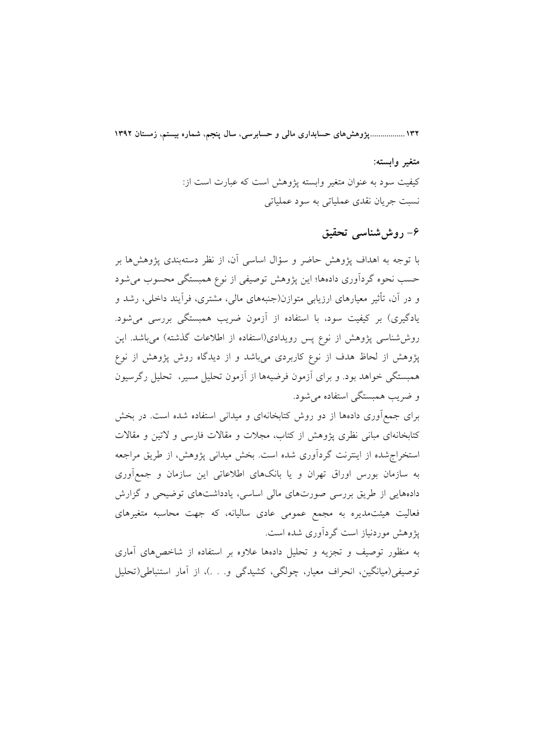۱۳۲ ...................یژوهش های حسابداری مالی و حسابرسی، سال ینجم، شماره بیستم، زمستان ۱۳۹۲

متغير وابسته: كيفيت سود به عنوان متغير وابسته يؤوهش است كه عبارت است از: نسبت جريان نقدي عملياتي به سود عملياتي

## ۶– روششناسی تحقیق

با توجه به اهداف یژوهش حاضر و سؤال اساسی آن، از نظر دستهبندی یژوهش ها بر حسب نحوه گردآوری دادهها؛ این یژوهش توصیفی از نوع همبستگی محسوب می شود و در آن، تأثیر معیارهای ارزیابی متوازن(جنبههای مالی، مشتری، فرآیند داخلی، رشد و یادگیری) بر کیفیت سود، با استفاده از آزمون ضریب همبستگی بررسی میشود. روششناسی پژوهش از نوع پس رویدادی(استفاده از اطلاعات گذشته) میباشد. این یژوهش از لحاظ هدف از نوع کاربردی می باشد و از دیدگاه روش پژوهش از نوع همبستگی خواهد بود. و برای آزمون فرضیهها از آزمون تحلیل مسیر، تحلیل رگرسیون و ضريب همبستگي استفاده مي شود.

برای جمع[وری دادهها از دو روش کتابخانهای و میدانی استفاده شده است. در بخش کتابخانهای مبانی نظری یژوهش از کتاب، مجلات و مقالات فارسی و لاتین و مقالات استخراج شده از اینترنت گردآوری شده است. بخش میدانی پژوهش، از طریق مراجعه به سازمان بورس اوراق تهران و یا بانکهای اطلاعاتی این سازمان و جمعآوری دادههایی از طریق بررسی صورتهای مالی اساسی، یادداشتهای توضیحی و گزارش فعالیت هیئتمدیره به مجمع عمومی عادی سالیانه، که جهت محاسبه متغیرهای پژوهش موردنیاز است گردآوری شده است.

به منظور توصیف و تجزیه و تحلیل دادهها علاوه بر استفاده از شاخصهای آماری توصیفی(میانگین، انحراف معیار، چولگی، کشیدگی و. . .)، از آمار استنباطی(تحلیل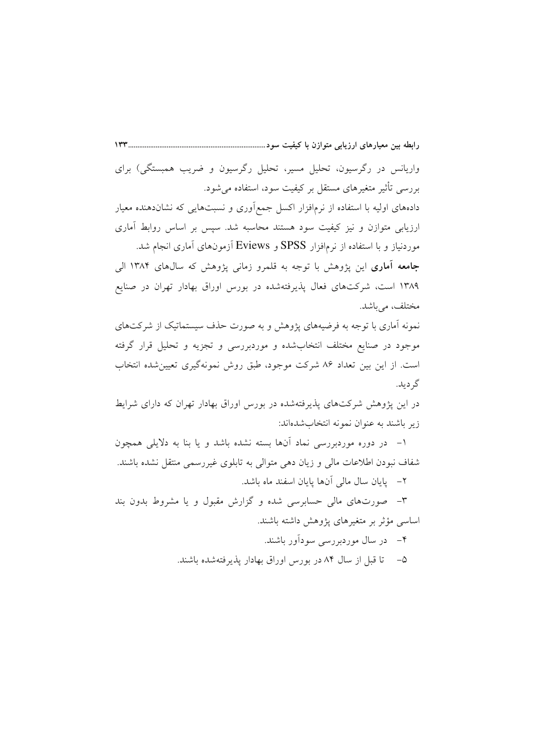واریانس در رگرسیون، تحلیل مسیر، تحلیل رگرسیون و ضریب همبستگی) برای بررسی تأثیر متغیرهای مستقل بر کیفیت سود، استفاده می شود. دادههای اولیه با استفاده از نرمافزار اکسل جمع آوری و نسبتهایی که نشاندهنده معیار ارزیابی متوازن و نیز کیفیت سود هستند محاسبه شد. سپس بر اساس روابط آماری موردنیاز و با استفاده از نرمافزار SPSS و Eviews آزمونهای آماری انجام شد. **جامعه آماری** این پژوهش با توجه به قلمرو زمانی پژوهش که سالهای ۱۳۸۴ الی ۱۳۸۹ است، شرکتهای فعال پذیرفتهشده در بورس اوراق بهادار تهران در صنایع

مختلف، مي باشد. نمونه آماری با توجه به فرضیههای پژوهش و به صورت حذف سیستماتیک از شرکتهای موجود در صنایع مختلف انتخابشده و موردبررسی و تجزیه و تحلیل قرار گرفته است. از این بین تعداد ۸۶ شرکت موجود، طبق روش نمونهگیری تعیین شده انتخاب گر ديد.

در این پژوهش شرکتهای پذیرفتهشده در بورس اوراق بهادار تهران که دارای شرایط زير باشند به عنوان نمونه انتخاب شدهاند:

۱– در دوره موردبررسی نماد أنها بسته نشده باشد و یا بنا به دلایلی همچون شفاف نبودن اطلاعات مالی و زیان دهی متوالی به تابلوی غیررسمی منتقل نشده باشند.

٢– يايان سال مالي آنها يايان اسفند ماه باشد.

۳– صورتهای مالی حسابرسی شده و گزارش مقبول و یا مشروط بدون بند اساسی مؤثر بر متغیرهای پژوهش داشته باشند.

۴– در سال موردبررسی سودآور باشند.

۵– تا قبل از سال ۸۴ در بورس اوراق بهادار یذیرفتهشده باشند.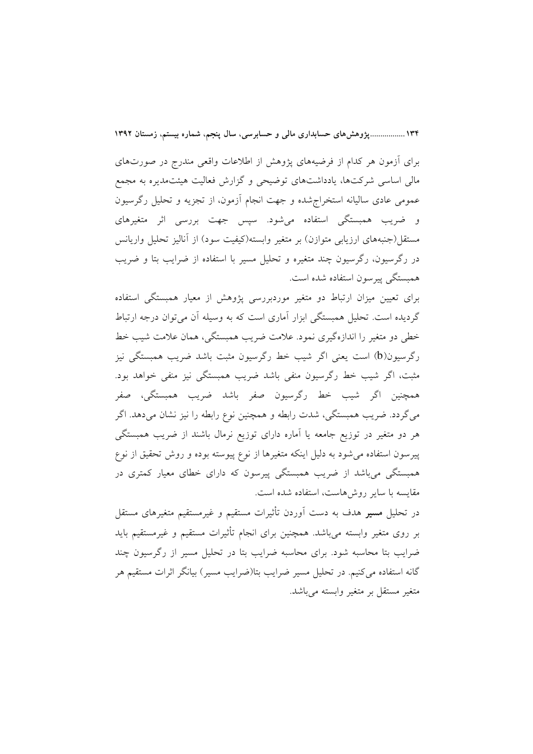۱۳۴ ...................یژوهش های حسابداری مالی و حسابرسی، سال ینجم، شماره بیستم، زمستان ۱۳۹۲

برای اَزمون هر کدام از فرضیههای پژوهش از اطلاعات واقعی مندرج در صورتهای مالی اساسی شرکتها، یادداشتهای توضیحی و گزارش فعالیت هیئتمدیره به مجمع عمومی عادی سالیانه استخراجشده و جهت انجام أزمون، از تجزیه و تحلیل رگرسیون و ضریب همبستگی استفاده میشود. سیس جهت بررسی اثر متغیرهای مستقل(جنبههای ارزیابی متوازن) بر متغیر وابسته(کیفیت سود) از آنالیز تحلیل واریانس در رگرسیون، رگرسیون چند متغیره و تحلیل مسیر با استفاده از ضرایب بتا و ضریب همستگی پیرسون استفاده شده است.

برای تعیین میزان ارتباط دو متغیر موردبررسی پژوهش از معیار همبستگی استفاده گردیده است. تحلیل همبستگی ابزار آماری است که به وسیله آن می توان درجه ارتباط خطی دو متغیر را اندازهگیری نمود. علامت ضریب همبستگی، همان علامت شیب خط رگرسیون(b) است یعنی اگر شیب خط رگرسیون مثبت باشد ضریب همبستگی نیز مثبت، اگر شیب خط رگرسیون منفی باشد ضریب همبستگی نیز منفی خواهد بود. همچنین اگر شیب خط رگرسیون صفر باشد ضریب همبستگی، صفر میگردد. ضریب همبستگی، شدت رابطه و همچنین نوع رابطه را نیز نشان میدهد. اگر هر دو متغیر در توزیع جامعه یا آماره دارای توزیع نرمال باشند از ضریب همبستگی پیرسون استفاده میشود به دلیل اینکه متغیرها از نوع پیوسته بوده و روش تحقیق از نوع همبستگی میباشد از ضریب همبستگی پیرسون که دارای خطای معیار کمتری در مقایسه با سایر روشهاست، استفاده شده است.

در تحلیل م**سیر** هدف به دست آوردن تأثیرات مستقیم و غیرمستقیم متغیرهای مستقل بر روی متغیر وابسته می،باشد. همچنین برای انجام تأثیرات مستقیم و غیرمستقیم باید ضرایب بتا محاسبه شود. برای محاسبه ضرایب بتا در تحلیل مسیر از رگرسیون چند گانه استفاده می کنیم. در تحلیل مسیر ضرایب بتا(ضرایب مسیر) بیانگر اثرات مستقیم هر متغیر مستقل بر متغیر وابسته میباشد.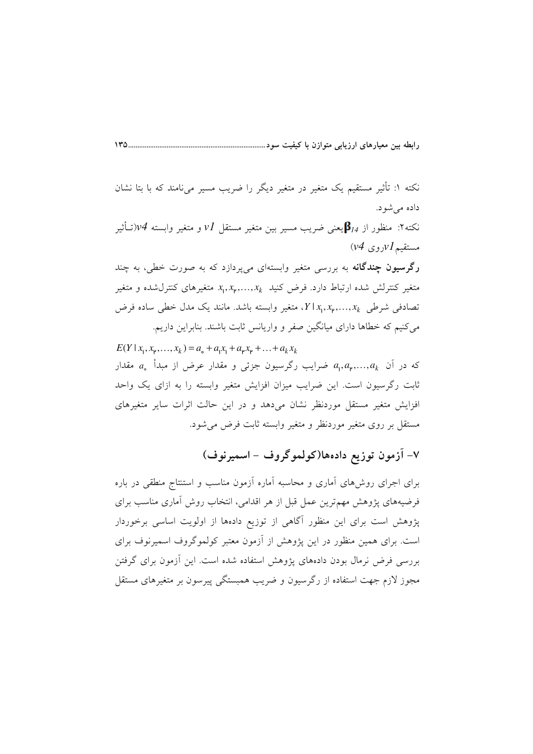نکته ۱: تأثیر مستقیم یک متغیر در متغیر دیگر را ضریب مسیر میiامند که با بتا نشان داده می شود.

 $1 \text{H} \Delta$ 

نکته۲: منظور از  $\beta_{14}$ یعنی ضریب مسیر بین متغیر مستقل  $V$  و متغیر وابسته  $\mathcal{V}$ (تـأثیر  $(v4\,$ مستقیم  $V$ روی

**رگرسیون چندگانه** به بررسی متغیر وابستهای میپردازد که به صورت خطی، به چند متغیر کنترلش شده ارتباط دارد. فرض کنید  $x_1, x_2, ..., x_k$  متغیرهای کنترلشده و متغیر تصادفی شرطی  $x_k, x_p, ..., x_k$ ، متغیر وابسته باشد. مانند یک مدل خطی ساده فرض می کنیم که خطاها دارای میانگین صفر و واریانس ثابت باشند. بنابراین داریم.

 $E(Y | x_1, x_2, ..., x_k) = a_1 + a_1 x_1 + a_2 x_2 + ... + a_k x_k$ که در آن  $a_{\mathsf{p}},a_{\mathsf{p}},...,a_{\mathsf{k}}$  ضرایب رگرسیون جزئی و مقدار عرض از مبدأ  $a_{\mathsf{o}}$  مقدار ثابت رگرسیون است. این ضرایب میزان افزایش متغیر وابسته را به ازای یک واحد افزایش متغیر مستقل موردنظر نشان میدهد و در این حالت اثرات سایر متغیرهای مستقل بر روی متغیر موردنظر و متغیر وابسته ثابت فرض میشود.

٧- آزمون توزيع دادهها(كولموگروف - اسميرنوف)

برای اجرای روشهای أماری و محاسبه أماره أزمون مناسب و استنتاج منطقی در باره فرضیههای پژوهش مهمترین عمل قبل از هر اقدامی، انتخاب روش أماری مناسب برای پژوهش است برای این منظور آگاهی از توزیع دادهها از اولویت اساسی برخوردار است. برای همین منظور در این پژوهش از آزمون معتبر کولموگروف اسمیرنوف برای بررسی فرض نرمال بودن دادههای پژوهش استفاده شده است. این آزمون برای گرفتن مجوز لازم جهت استفاده از رگرسیون و ضریب همبستگی پیرسون بر متغیرهای مستقل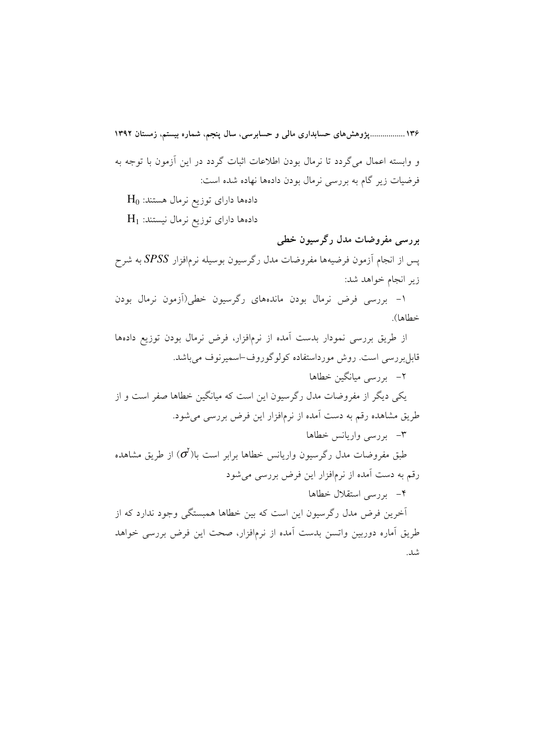۱۳۶ ................. پژوهش های حسابداری مالی و حسابرسی، سال پنجم، شماره بیستم، زمستان ۱۳۹۲ و وابسته اعمال می گردد تا نرمال بودن اطلاعات اثبات گردد در این آزمون با توجه به فرضیات زیر گام به بررسی نرمال بودن دادهها نهاده شده است:  $\rm\,H_{0}$  دادهها دارای توزیع نرمال هستند:  $\rm{H}_{1}$  دادهها دارای توزیع نرمال نیستند: بررسي مفروضات مدل رگرسيون خطي یس از انجام اَزمون فرضیهها مفروضات مدل رگرسیون بوسیله نرمافزار SPSS به شرح زیر انجام خواهد شد: ١- بررسي فرض نرمال بودن ماندههاي رگرسيون خطى(آزمون نرمال بودن خطاها). از طریق بررسی نمودار بدست آمده از نرمافزار، فرض نرمال بودن توزیع دادهها قابل بررسی است. روش مورداستفاده کولوگوروف-اسمیرنوف می باشد. ۲–۔ بررسے میانگین خطاها یکی دیگر از مفروضات مدل رگرسیون این است که میانگین خطاها صفر است و از طریق مشاهده رقم به دست آمده از نرمافزار این فرض بررسی میشود. ۳– بررسی واریانس خطاها طبق مفروضات مدل رگرسیون واریانس خطاها برابر است با $(\sigma^{\!\! \prime})$ از طریق مشاهده رقم به دست آمده از نرمافزار این فرض بررسی می شود ۴– بررسی استقلال خطاها أخرين فرض مدل رگرسيون اين است كه بين خطاها همبستگي وجود ندارد كه از طريق آماره دوربين واتسن بدست آمده از نرمافزار، صحت اين فرض بررسي خواهد شد.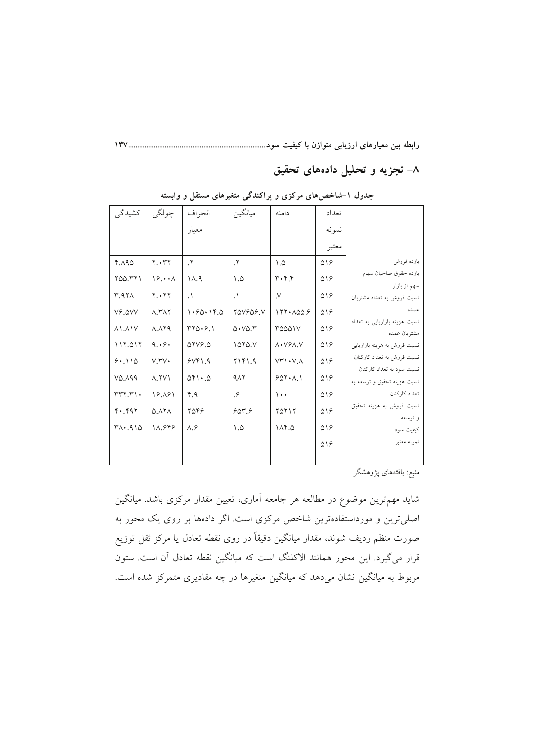رابطه بین معیارهای ارزیابی متوازن با کیفیت سود........................

۸– تجزیه و تحلیل دادههای تحقیق

| کشیدگی                    | چولگي                     | انحراف                        | ميانگين                           | دامنه                            | تعداد       |                                                          |
|---------------------------|---------------------------|-------------------------------|-----------------------------------|----------------------------------|-------------|----------------------------------------------------------|
|                           |                           | معيار                         |                                   |                                  | نمونه       |                                                          |
|                           |                           |                               |                                   |                                  | معتبر       |                                                          |
| 4.190                     | Y. YY                     | $\cdot^{\mathsf{r}}$          | $\cdot^{\mathsf{r}}$              | $\Lambda$                        | $\Delta$ 18 | بازده فروش                                               |
| ٢٥٥.٣٢١                   | $19. \cdot \cdot \Lambda$ | $\Lambda$ .                   | ۱.۵                               | ۳۰۴.۴                            | ۵۱۶         | بازده حقوق صاحبان سهام<br>سهم از بازار                   |
| <b>M.971</b>              | Y. YY                     | $\cdot$                       | $\cdot$                           | $\mathcal{N}$                    | $\Delta$ 18 | نسبت فروش به تعداد مشتريان                               |
| VS.OVV                    | $\Lambda$ . ۳ $\Lambda$ ۲ | 1.90.14.0                     | <b>YAVSAS.V</b>                   | 177.009.9                        | ۵۱۶         | عمده                                                     |
| $\Lambda$ 1. $\Lambda$ 1V | $\Lambda$ . $\Lambda$ YA  | $YY\Delta \cdot 9.1$          | $\Delta$ . $V\Delta$ . $\Upsilon$ | ٣۵۵۵۱۷                           | $\Delta$ 18 | نسبت هزینه بازاریابی به تعداد<br>مشتريان عمده            |
| 117.017                   | 9.69.                     | $\Delta YV$ . $\Delta$        | 1070. V                           | $\Lambda$ . $V$ $9\Lambda$ , $V$ | $\Delta$ 18 | نسبت فروش به هزینه بازاریابی                             |
| 9.110                     | $V.$ ۳ $V$                | 9Vf1.9                        | YYY1.9                            | $VT'$ $\cdot$ $\vee$ . $\wedge$  | ۵۱۶         | نسبت فروش به تعداد کارکنان                               |
| $V\Delta$ , $\Delta$ 99   | $\Lambda$ . TV $\Lambda$  | $\Delta$ F $\cdot$ . $\Delta$ | $4\lambda$                        | 501.1                            | $\Delta$ 18 | نسبت سود به تعداد کارکنان<br>نسبت هزينه تحقيق و توسعه به |
| rrr, r                    | 18.181                    | 4.9                           | $\cdot$                           | $\cdots$                         | ۵۱۶         | تعداد كاركنان                                            |
| 4.497                     | 0.111                     | ۲۵۴۶                          | $90 - 9$                          | ۲۵۲۱۲                            | ۵۱۶         | نسبت فروش به هزینه تحقیق                                 |
| $Y\wedge Y$ . $910$       | 11.949                    | $\Lambda$ . $\hat{z}$         | $\Lambda$ . $\Delta$              | $\Lambda$ . $\Delta$             | $\Delta$ 18 | و توسعه<br>کیفیت سود                                     |
|                           |                           |                               |                                   |                                  | ۵۱۶         | نمونه معتبر                                              |
|                           |                           |                               |                                   |                                  |             |                                                          |

جدول ۱-شاخصهای مرکزی و پراکندگی متغیرهای مستقل و وابسته

منبع: يافتههاي پژوهشگر

شاید مهمترین موضوع در مطالعه هر جامعه آماری، تعیین مقدار مرکزی باشد. میانگین اصلیترین و مورداستفادهترین شاخص مرکزی است. اگر دادهها بر روی یک محور به صورت منظم ردیف شوند، مقدار میانگین دقیقاً در روی نقطه تعادل یا مرکز ثقل توزیع قرار میگیرد. این محور همانند الاکلنگ است که میانگین نقطه تعادل آن است. ستون مربوط به میانگین نشان میدهد که میانگین متغیرها در چه مقادیری متمرکز شده است.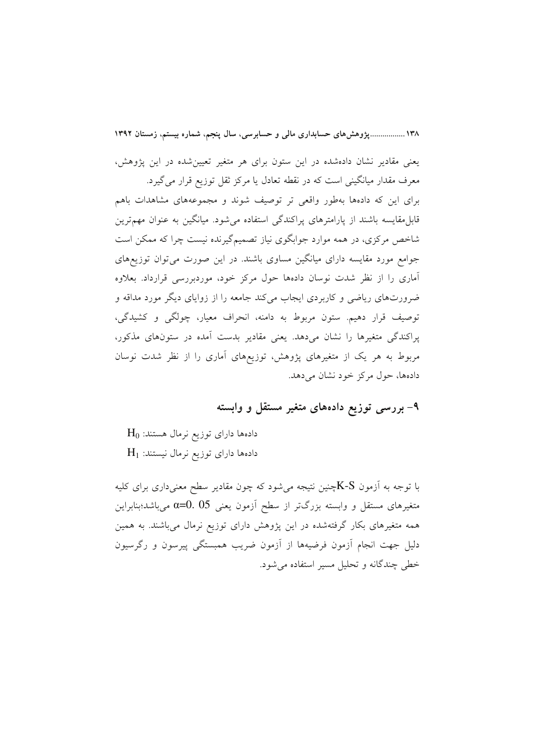۱۳۸..................یژوهش های حسابداری مالی و حسابرسی، سال ینجم، شماره بیستم، زمستان ۱۳۹۲

یعنی مقادیر نشان دادهشده در این ستون برای هر متغیر تعیین شده در این یژوهش، معرف مقدار میانگینی است که در نقطه تعادل یا مرکز ثقل توزیع قرار میگیرد. برای این که دادهها بهطور واقعی تر توصیف شوند و مجموعههای مشاهدات باهم .<br>قابل مقایسه باشند از یارامترهای پراکندگی استفاده می شود. میانگین به عنوان مهمترین شاخص مرکزی، در همه موارد جوابگوی نیاز تصمیمگیرنده نیست چرا که ممکن است جوامع مورد مقایسه دارای میانگین مساوی باشند. در این صورت می توان توزیعهای آماری را از نظر شدت نوسان دادهها حول مرکز خود، موردبررسی قرارداد. بعلاوه ضرورتهای ریاضی و کاربردی ایجاب میکند جامعه را از زوایای دیگر مورد مداقه و توصيف قرار دهيم. ستون مربوط به دامنه، انحراف معيار، چولگي و كشيدگي، پراکندگی متغیرها را نشان میدهد. یعنی مقادیر بدست آمده در ستونهای مذکور، مربوط به هر یک از متغیرهای پژوهش، توزیعهای آماری را از نظر شدت نوسان دادهها، حول مرکز خود نشان میدهد.

#### ۹- بررسی توزیع دادههای متغیر مستقل و وابسته

 $\rm H_0$  دادهها دارای توزیع نرمال هستند:  $\rm{H}_{1}$  دادهها دارای توزیع نرمال نیستند:

با توجه به آزمون K-Sپخنین نتیجه میشود که چون مقادیر سطح معنیداری برای کلیه متغیرهای مستقل و وابسته بزرگتر از سطح آزمون یعنی 05 .0=α میباشد؛بنابراین همه متغیرهای بکار گرفتهشده در این پژوهش دارای توزیع نرمال میباشند. به همین دلیل جهت انجام آزمون فرضیهها از آزمون ضریب همبستگی پیرسون و رگرسیون خطي چندگانه و تحليل مسير استفاده مي شود.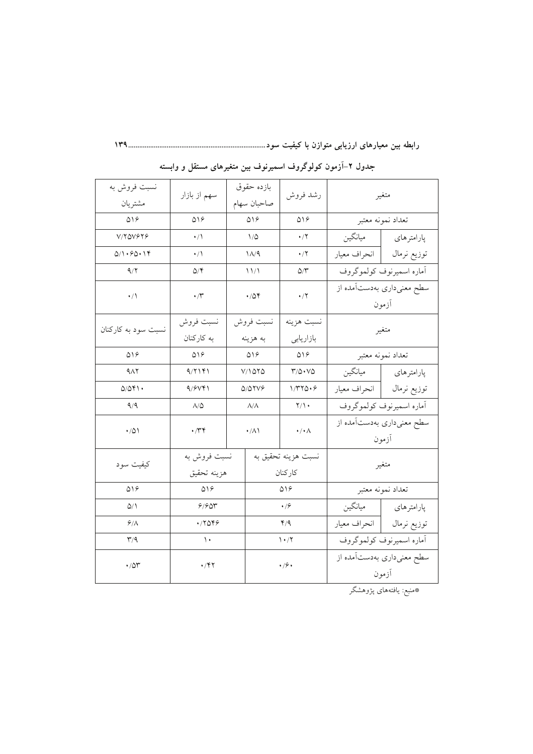| نسبت فروش به<br>مشتريان                               | سهم از بازار                                  |             | بازده حقوق<br>صاحبان سهام                  | رشد فروش                                                | متغير                              |                                     |
|-------------------------------------------------------|-----------------------------------------------|-------------|--------------------------------------------|---------------------------------------------------------|------------------------------------|-------------------------------------|
| $\Delta$ \ $\epsilon$                                 | $\Delta \backslash \mathcal{S}$               |             | $\Delta\lambda\mathcal{S}$                 | $\Delta \backslash \mathcal{S}$                         | تعداد نمونه معتبر                  |                                     |
| V/YQV&Y&                                              | $\cdot/$                                      |             | $\backslash/\triangle$                     | $\cdot$ /٢                                              |                                    | پارامترهای   میانگین                |
| 0/1.90.19                                             | $\cdot/\wedge$                                |             | $1/\sqrt{9}$                               | $\cdot/7$                                               |                                    | توزيع نرمال           انحراف معيار  |
| 9/7                                                   | $\Delta/\mathfrak{F}$                         |             | 11/1                                       | $\Delta/\tau$                                           |                                    | أماره اسميرنوف كولموكروف            |
| $\cdot/1$                                             | $\boldsymbol{\cdot} \,/\boldsymbol{\Upsilon}$ |             | $\cdot/\Delta$ ۴                           | $\cdot$ /۲                                              | أزمون                              | سطح معنیداری بهدستآمده از           |
| نسبت سود به کارکنان                                   | نسبت فروش                                     |             | نسبت فروش                                  | نسبت هزينه                                              |                                    |                                     |
|                                                       | به کارکنان                                    | به هزينه    |                                            | بازاريابي                                               | متغير                              |                                     |
| 019                                                   | $\Delta \lambda$                              | $\Delta$ 18 |                                            | $\Delta$ 18                                             | تعداد نمونه معتبر                  |                                     |
| $9\Lambda$                                            | 9/۲۱۴۱                                        | ۲/۱۵۲۵      |                                            | $\mathsf{r}\text{/}\mathsf{a}\cdot\mathsf{v}\mathsf{a}$ |                                    | پارامترهای <mark>ا</mark> میانگین   |
| Q/Qf                                                  | 9/9Vf1                                        | 5/57VG      |                                            | 1/770.9                                                 |                                    | توزيع نرمال            انحراف معيار |
| 9/9                                                   | $\Lambda/\Delta$                              |             | $\Lambda/\Lambda$                          | $\gamma/\gamma$ .                                       | أماره اسميرنوف كولموكروف           |                                     |
| $\cdot$ /0 $\backslash$                               | $\cdot$ /۳۴                                   |             | $\boldsymbol{\cdot} / \boldsymbol{\wedge}$ | $\cdot/\cdot \wedge$                                    | سطح معنیداری بهدستآمده از<br>آزمون |                                     |
| كيفيت سود                                             | نسبت فروش به<br>هزينه تحقيق                   |             |                                            | نسبت هزينه تحقيق به<br>كاركنان                          | متغير                              |                                     |
| $\Delta \backslash \mathcal{S}$                       | $\Delta$ \ $\varphi$                          |             |                                            | $\Delta$ 18                                             | تعداد نمونه معتبر                  |                                     |
| ۵/۱                                                   | 9/90r                                         |             |                                            | $\cdot$ / $\circ$                                       |                                    | پارامترهای   میانگین                |
| 9/1                                                   | 47099                                         |             |                                            | 4/9                                                     |                                    | توزيع نرمال        انحراف معيار     |
| $\mathsf{r}/\mathsf{q}$                               | $\backslash$ .                                |             |                                            | $\mathcal{N} \cdot \mathcal{N}$                         |                                    | أماره اسميرنوف كولموكروف            |
| $\boldsymbol{\cdot}$ / $\Delta \boldsymbol{\Upsilon}$ | $\cdot$ /۴۲                                   |             |                                            | $\cdot$ / $\circ$ $\cdot$                               |                                    | سطح معنیداری بهدستآمده از<br>أزمون  |

جدول ۲-آزمون کولوگروف اسمیرنوف بین متغیرهای مستقل و وابسته

.<br>\*منبع: یافتههای پژوهشگر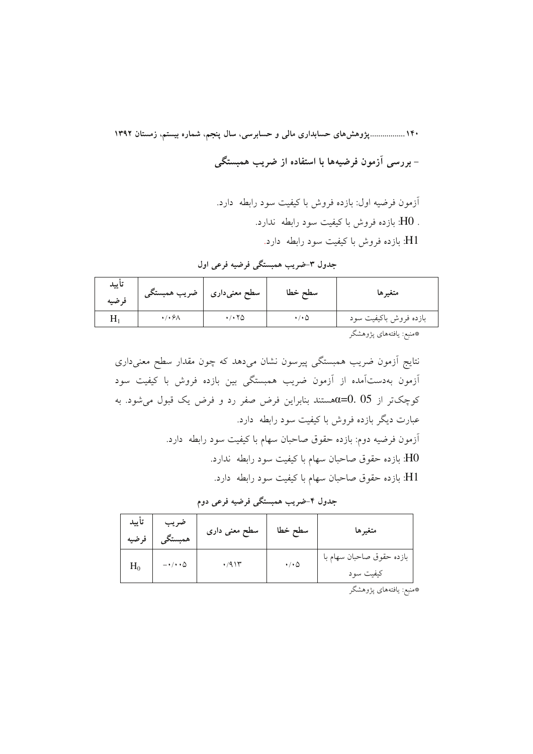۱۴۰ ....................وژوهشهای حسابداری مالی و حسابرسی، سال ینجم، شماره بیستم، زمستان ۱۳۹۲ - بررسی آزمون فرضیهها با استفاده از ضریب همبستگی

> آزمون فرضيه اول: بازده فروش با كيفيت سود رابطه دارد. . H0: بازده فروش با کیفیت سود رابطه ندارد. H1: بازده فروش با كيفيت سود رابطه دارد.

| تاييد<br>فرضيه | ضريب همبستگي                        | سطح معنیداری | سطح خطا         | متغيرها                  |
|----------------|-------------------------------------|--------------|-----------------|--------------------------|
|                | $\cdot$ / $\cdot$ $\theta$ $\wedge$ | ۱۰۲۵         | $\cdot/\cdot$ ۵ | بازده فروش باكيفيت سود   |
|                |                                     |              |                 | تعجبني المستملة بديمة حج |

جدول ٣-ضريب همبستگي فرضيه فرعي اول

\*منبع: يافتههاى پژوهشگر

نتایج آزمون ضریب همبستگی پیرسون نشان میدهد که چون مقدار سطح معنیداری آزمون بهدستآمده از آزمون ضريب همبستگي بين بازده فروش با كيفيت سود کوچکتر از 05.05مستند بنابراین فرض صفر رد و فرض یک قبول می شود. به عبارت دیگر بازده فروش با کیفیت سود رابطه ً دارد. اّزمون فرضيه دوم: بازده حقوق صاحبان سهام با كيفيت سود رابطه دارد. .<br>H0: بازده حقوق صاحبان سهام با کیفیت سود رابطه ندارد. .<br>H1: بازده حقوق صاحبان سهام با كيفيت سود رابطه دارد.

جدول ۴-ضریب همبستگی فرضیه فرعی دوم

|       | ضریب <mark>تأیید</mark><br>همبستگ <i>ی</i> فرضیه | سطح معنی داری | سطح خطا                   | متغيرها                                |
|-------|--------------------------------------------------|---------------|---------------------------|----------------------------------------|
| $H_0$ | $-\cdot/\cdot\cdot\Delta$                        | .411          | $\cdot$ / $\cdot$ $\circ$ | بازده حقوق صاحبان سهام با<br>كيفيت سود |

\*منبع: يافتههاي پژوهشگر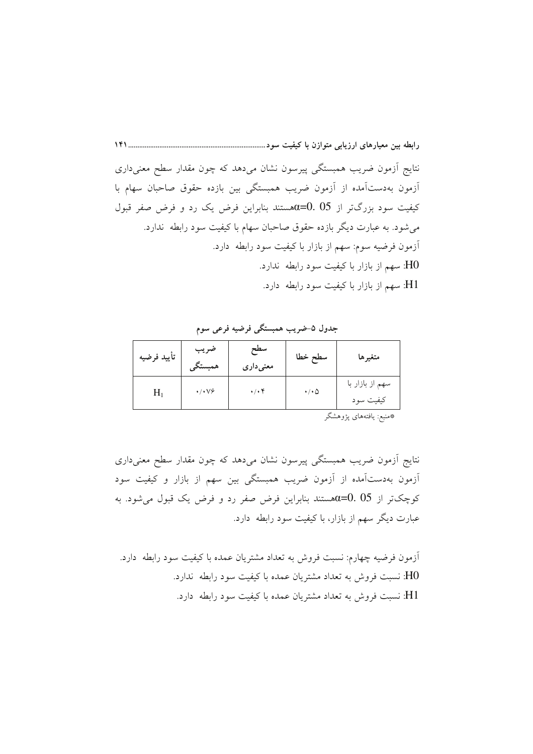نتایج آزمون ضریب همبستگی پیرسون نشان میدهد که چون مقدار سطح معنیداری آزمون بهدستآمده از آزمون ضریب همبستگی بین بازده حقوق صاحبان سهام با کیفیت سود بزرگتر از 05 ـ0=6هستند بنابراین فرض یک رد و فرض صفر قبول می شود. به عبارت دیگر بازده حقوق صاحبان سهام با کیفیت سود رابطه ندارد. آزمون فرضيه سوم: سهم از بازار با كيفيت سود رابطه ً دارد. H0: سهم از بازار با کیفیت سود رابطه ندارد. H1: سهم از بازار با کیفیت سود رابطه دارد.

جدول ۵-ضریب همبستگی فرضیه فرعی سوم

| تأييد فرضيه | ضريب<br>همبستكي                      | سطح<br>معنىدارى | سطح خطا               | متغيرها                      |
|-------------|--------------------------------------|-----------------|-----------------------|------------------------------|
| $H_1$       | $\cdot/\cdot\vee\frac{\cdot}{\cdot}$ | $\cdot/\cdot$ ۴ | $\cdot/\cdot$ $\circ$ | سهم از بازار با<br>كيفيت سود |

\*منبع: يافتههاى پژوهشگر

نتایج آزمون ضریب همبستگی پیرسون نشان میدهد که چون مقدار سطح معنیداری آزمون بهدستآمده از آزمون ضریب همبستگی بین سهم از بازار و کیفیت سود کوچکتر از 05. 05هستند بنابراین فرض صفر رد و فرض یک قبول میشود. به عبارت دیگر سهم از بازار، با کیفیت سود رابطه ً دارد.

آزمون فرضیه چهارم: نسبت فروش به تعداد مشتریان عمده با کیفیت سود رابطه ًدارد. H0: نسبت فروش به تعداد مشتریان عمده با کیفیت سود رابطه ندارد. H1: نسبت فروش به تعداد مشتریان عمده با کیفیت سود رابطه (دارد.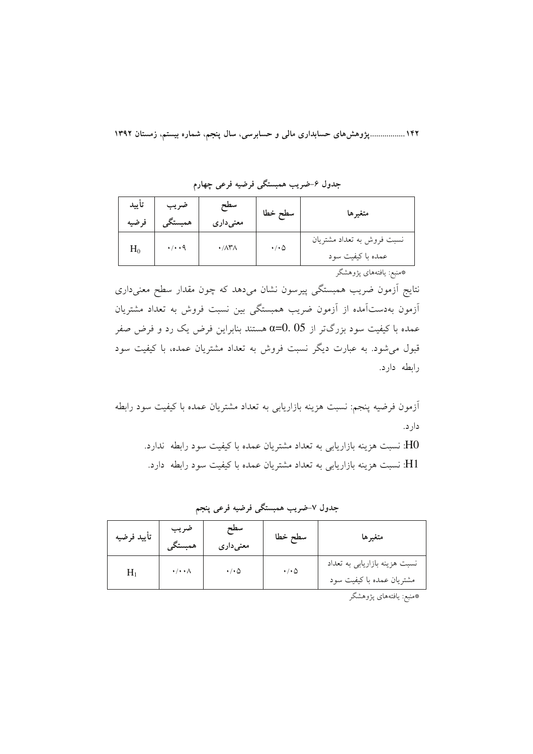۱۴۲ ................. پژوهشهای حسابداری مالی و حسابرسی، سال پنجم، شماره بیستم، زمستان ۱۳۹۲

| تأييد<br>فرضيه | ضريب<br>همبستگ       | سطح<br>معنی داری                 | سطح خطا                   | متغيرها                                         |
|----------------|----------------------|----------------------------------|---------------------------|-------------------------------------------------|
| $H_0$          | $\cdot/\cdot\cdot$ 9 | $\cdot/\lambda\mathsf{Y}\lambda$ | $\cdot$ / $\cdot$ $\circ$ | نسبت فروش به تعداد مشتريان<br>عمده با كيفيت سود |
|                |                      |                                  |                           | *منبع: يافتههاى پژوهشگر                         |

جدول ۶–ضریب همبستگی فرضیه فرعی چهارم

نتایج آزمون ضریب همبستگی پیرسون نشان میدهد که چون مقدار سطح معنیداری آزمون بهدستآمده از آزمون ضريب همبستگي بين نسبت فروش به تعداد مشتريان عمده با کیفیت سود بزرگتر از α=0. 05 هستند بنابراین فرض یک رد و فرض صفر قبول می شود. به عبارت دیگر نسبت فروش به تعداد مشتریان عمده، با کیفیت سود رابطه دارد.

آزمون فرضیه پنجم: نسبت هزینه بازاریابی به تعداد مشتریان عمده با کیفیت سود رابطه دار د.

H0: نسبت هزینه بازاریابی به تعداد مشتریان عمده با کیفیت سود رابطه ندارد. H1: نسبت هزینه بازاریابی به تعداد مشتریان عمده با کیفیت سود رابطه دارد.

| تأييد فرضيه | ضريب<br>همبستگم          | سطح<br>معنی داری | سطح خطا         | متغيرها                                                    |
|-------------|--------------------------|------------------|-----------------|------------------------------------------------------------|
|             | $\cdot/\cdot\cdot\wedge$ | $\cdot/\cdot$ ۵  | $\cdot/\cdot$ ۵ | نسبت هزینه بازاریابی به تعداد<br>مشتریان عمده با کیفیت سود |

جدول ٧-ضريب همبستگي فرضيه فرعي پنجم

\*منبع: يافتههاي پژوهشگر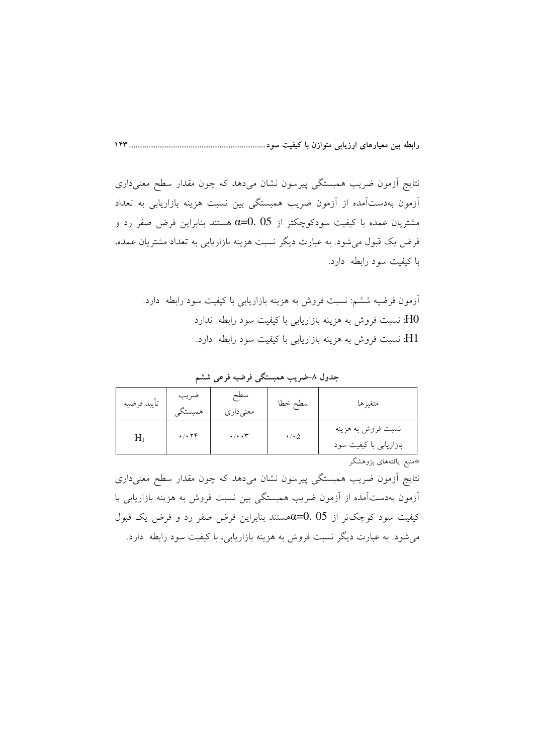نتایج آزمون ضریب همبستگی پیرسون نشان میدهد که چون مقدار سطح معنیداری آزمون بهدستآمده از آزمون ضریب همبستگی بین نسبت هزینه بازاریابی به تعداد مشتریان عمده با کیفیت سودکوچکتر از 05 .05 هستند بنابراین فرض صفر رد و فرض یک قبول می شود. به عبارت دیگر نسبت هزینه بازاریابی به تعداد مشتریان عمده، با کیفیت سود رابطه دارد.

آزمون فرضیه ششم: نسبت فروش به هزینه بازاریابی با کیفیت سود رابطه دارد. H0: نسبت فروش به هزینه بازاریابی با کیفیت سود رابطه ندارد H1: نسبت فروش به هزینه بازاریابی با کیفیت سود رابطه دارد.

| تأييد فرضيه | ضريب<br>همبستگي                         | سطح<br>معنى دارى        | سطح خطا | متغيرها                                      |
|-------------|-----------------------------------------|-------------------------|---------|----------------------------------------------|
| $H_1$       | $\cdot$ / $\cdot$ $\uparrow$ $\uparrow$ | $\cdot/\cdot\cdot \tau$ | ۰/۰۵    | نسبت فروش به هزينه<br>بازاریابی با کیفیت سود |
|             |                                         |                         |         | *منىع: پافتەھاي بڑەھشگ                       |

جدول ۸–ضریب همبستگی فرضیه فرعی ششم

نتایج آزمون ضریب همبستگی پیرسون نشان میدهد که چون مقدار سطح معنیداری آزمون بهدستآمده از آزمون ضریب همبستگی بین نسبت فروش به هزینه بازاریابی با کیفیت سود کوچکتر از 05 .05=αهستند بنابراین فرض صفر رد و فرض یک قبول می شود. به عبارت دیگر نسبت فروش به هزینه بازاریابی، با کیفیت سود رابطه ً دارد.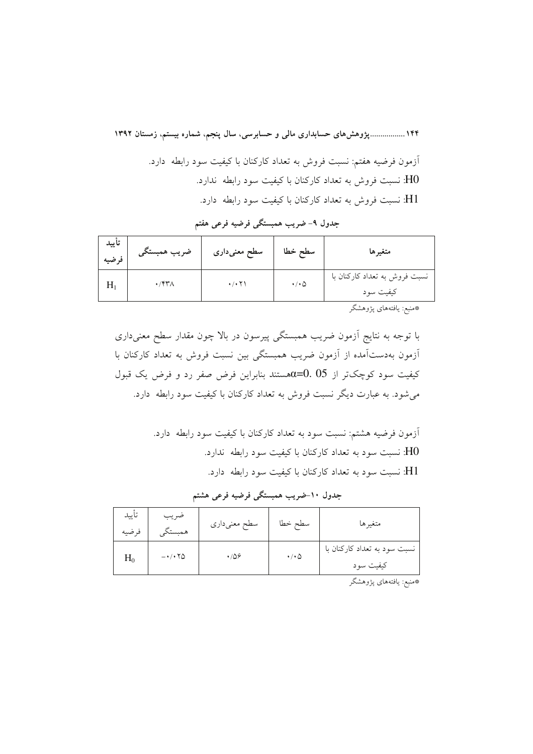۱۴۴ ................. پژوهشهای حسابداری مالی و حسابرسی، سال پنجم، شماره بیستم، زمستان ۱۳۹۲ أزمون فرضيه هفتم: نسبت فروش به تعداد كاركنان با كيفيت سود رابطه ۖ دارد. نسبت فروش به تعداد کارکنان با کیفیت سود رابطه ندارد.  ${\rm HO}$ H1: نسبت فروش به تعداد کارکنان با کیفیت سود رابطه دارد.

۔<br>جدول ۹– ضریب همبستگی فرضیه فرعی هفتم

| تاييد<br>فرضيه | ضريب همبستگي         | سطح معنیداری                   | سطح خطا               | متغيرها                                                                                                                                                                                                                            |
|----------------|----------------------|--------------------------------|-----------------------|------------------------------------------------------------------------------------------------------------------------------------------------------------------------------------------------------------------------------------|
|                | $\cdot$ /۴۳ $\wedge$ | $\cdot$ / $\cdot$ $\uparrow$ \ | $\cdot/\cdot$ $\circ$ | نسبت فروش به تعداد کارکنان با<br>کیفیت سود                                                                                                                                                                                         |
|                |                      |                                |                       | $\mathscr{D}$ . The set of the set of the set of the set of the set of the set of the set of the set of the set of the set of the set of the set of the set of the set of the set of the set of the set of the set of the set of t |

\*منبع: يافتههاى پژوهشگر

با توجه به نتایج آزمون ضریب همبستگی پیرسون در بالا چون مقدار سطح معنیداری آزمون بهدستآمده از آزمون ضریب همبستگی بین نسبت فروش به تعداد کارکنان با کیفیت سود کوچکتر از 05 .05×هستند بنابراین فرض صفر رد و فرض یک قبول میشود. به عبارت دیگر نسبت فروش به تعداد کارکنان با کیفیت سود رابطه ًدارد.

> آزمون فرضیه هشتم: نسبت سود به تعداد کارکنان با کیفیت سود رابطه دارد. H0: نسبت سود به تعداد کارکنان با کیفیت سود رابطه ندارد. H1: نسبت سود به تعداد کارکنان با کیفیت سود رابطه دارد.

| تأييد<br>فرضيه | ضريب<br>همبستكم | سطح معنىدارى | سطح خطا               | متغيرها                                   |
|----------------|-----------------|--------------|-----------------------|-------------------------------------------|
| $H_0$          | $-1.70$         | $\cdot$ /08  | $\cdot/\cdot$ $\circ$ | نسبت سود به تعداد کارکنان با<br>کیفیت سود |

جدول ۱۰–ضریب همبستگی فرضیه فرعی هشتم

\*منبع: يافتههاي پژوهشگر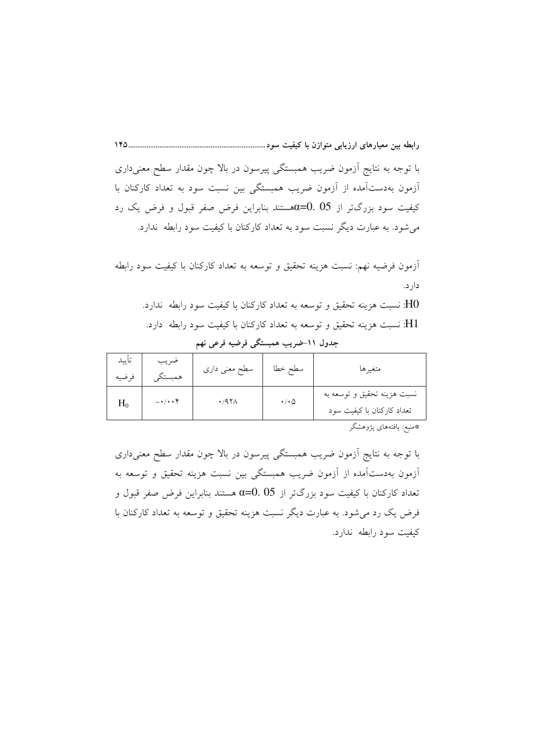با توجه به نتایج آزمون ضریب همبستگی پیرسون در بالا چون مقدار سطح معنیداری آزمون بهدستآمده از آزمون ضریب همبستگی بین نسبت سود به تعداد کارکنان با کیفیت سود بزرگتر از 05 ـ0=6هستند بنابراین فرض صفر قبول و فرض یک رد میشود. به عبارت دیگر نسبت سود به تعداد کارکنان با کیفیت سود رابطه ندارد.

أزمون فرضيه نهم: نسبت هزينه تحقيق و توسعه به تعداد كاركنان با كيفيت سود رابطه دار د.

H0: نسبت هزینه تحقیق و توسعه به تعداد کارکنان با کیفیت سود رابطه ندارد. H1: نسبت هزینه تحقیق و توسعه به تعداد کارکنان با کیفیت سود رابطه دارد.

تأسد ضريب سطح معنی داری سطح خطا متغير ها همبستگي فرضيه نسبت هزينه تحقيق و توسعه به  $\cdot$ /971  $\bullet/\bullet\Delta$  $H_0$  $-\cdot/\cdot\cdot f$ تعداد كاركنان با كيفيت سود

جدول ١١-ضريب همبستگي فرضيه فرعي نهم

\*منبع: يافتههاي پژوهشگر

با توجه به نتایج اَزمون ضریب همبستگی پیرسون در بالا چون مقدار سطح معنیداری آزمون بهدستآمده از آزمون ضریب همبستگی بین نسبت هزینه تحقیق و توسعه به تعداد کارکنان با کیفیت سود بزرگتر از 95 $\alpha$ 50 هستند بنابراین فرض صفر قبول و فرض یک رد میشود. به عبارت دیگر نسبت هزینه تحقیق و توسعه به تعداد کارکنان با کیفیت سود رابطه ندارد.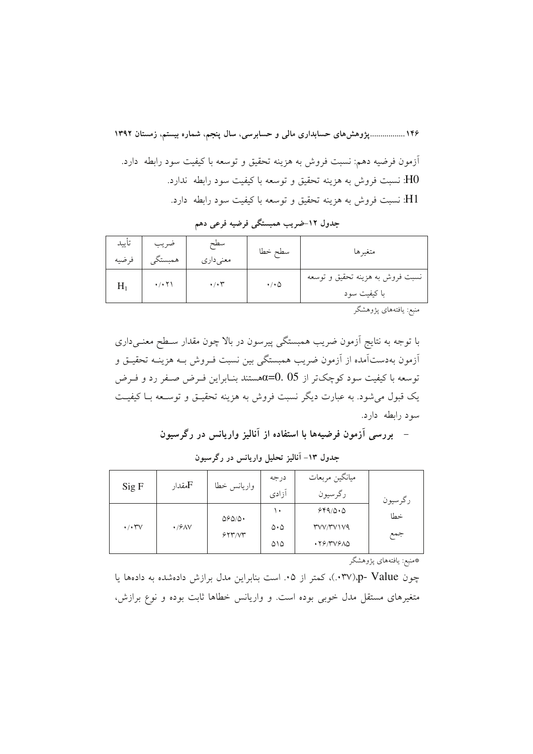۱۴۶ ................. پژوهشهای حسابداری مالی و حسابرسی، سال پنجم، شماره بیستم، زمستان ۱۳۹۲ أزمون فرضيه دهم: نسبت فروش به هزينه تحقيق و توسعه با كيفيت سود رابطه ًدارد. H0: نسبت فروش به هزینه تحقیق و توسعه با کیفیت سود رابطه ندارد. H1: نسبت فروش به هزینه تحقیق و توسعه با کیفیت سود رابطه ً دارد.

| نسبت فروش به هزینه تحقیق و توسعه<br>$\cdot$ / $\cdot$ $\uparrow$ \<br>$\cdot/\cdot$ $\tau$<br>$\cdot/\cdot$ $\circ$<br>$H_1$<br>با کیفیت سود | تأييد<br>فرضيه | ضريب<br>همبستگر | سطح<br>معنىدارى | سطح خطا | متغير ها |
|----------------------------------------------------------------------------------------------------------------------------------------------|----------------|-----------------|-----------------|---------|----------|
|                                                                                                                                              |                |                 |                 |         |          |

جدول ١٢-ضريب همبستگي فرضيه فرعي دهم

منبع: يافتههاي پژوهشگر

با توجه به نتایج اَزمون ضریب همبستگی پیرسون در بالا چون مقدار سـطح معنــی(دری ۔<br>ازمون بهدستآمده از آزمون ضریب همبستگی بین نسبت فـروش بــه هزینــه تحقیــق و توسعه با کیفیت سود کوچکتر از 05 $\alpha{=}0.\;05$ هستند بنـابراین فـرض صـفر رد و فـرض یک قبول می شود. به عبارت دیگر نسبت فروش به هزینه تحقیــق و توســعه بــا کیفیــت سود رابطه دارد.

– بررسی آزمون فرضیهها با استفاده از آنالیز واریانس در رگرسیون

| Sig F            | مقدار ${\rm F}$  | واريانس خطا                      | درجه<br>آزادى         | ميانگين مربعات<br>رگرسيون | رگرسيون |
|------------------|------------------|----------------------------------|-----------------------|---------------------------|---------|
|                  |                  | $\Delta$ S $\Delta$ / $\Delta$ . | ۱.                    | 549/0.0                   | خطا     |
| $\cdot/\cdot$ YV | $\cdot$ / $9$ AV |                                  | $\Delta \cdot \Delta$ | <b>TVV/TVIV9</b>          |         |
|                  |                  | 557/5                            | ۵۱۵                   | .79/٣٧۶٨۵                 | جمع     |

جدول ۱۳- آنالیز تحلیل واریانس در رگرسیون

\*منبع: يافتههاى پژوهشگر

چون p- Value)، کمتر از ۰۵. است بنابراین مدل برازش دادهشده به دادهها یا متغیرهای مستقل مدل خوبی بوده است. و واریانس خطاها ثابت بوده و نوع برازش،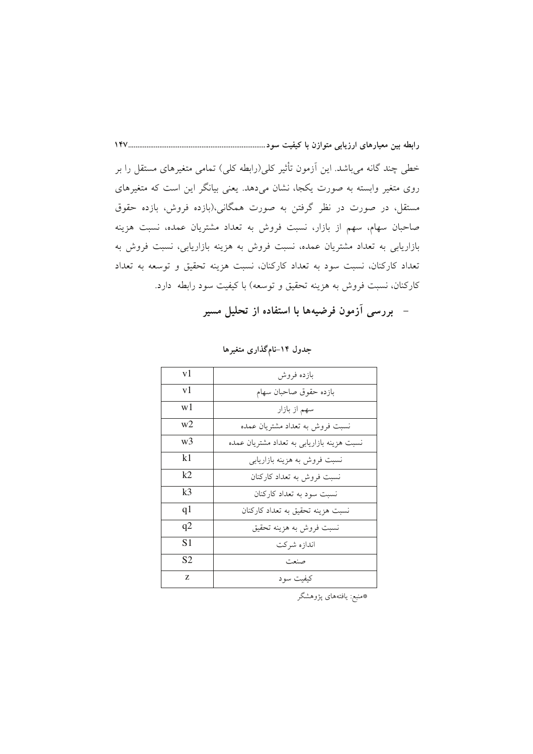خطی چند گانه میباشد. این اَزمون تأثیر کلی(رابطه کلی) تمامی متغیرهای مستقل را بر روی متغیر وابسته به صورت یکجا، نشان میدهد. یعنی بیانگر این است که متغیرهای مستقل، در صورت در نظر گرفتن به صورت همگانی،(بازده فروش، بازده حقوق صاحبان سهام، سهم از بازار، نسبت فروش به تعداد مشتريان عمده، نسبت هزينه بازاریابی به تعداد مشتریان عمده، نسبت فروش به هزینه بازاریابی، نسبت فروش به تعداد كاركنان، نسبت سود به تعداد كاركنان، نسبت هزينه تحقيق و توسعه به تعداد كاركنان، نسبت فروش به هزينه تحقيق و توسعه) با كيفيت سود رابطه دارد.

– بررسی آزمون فرضیهها با استفاده از تحلیل مسیر

| v1             | بازده فروش                                 |  |  |
|----------------|--------------------------------------------|--|--|
| v1             | بازده حقوق صاحبان سهام                     |  |  |
| w1             | سهم از بازار                               |  |  |
| w2             | نسبت فروش به تعداد مشتريان عمده            |  |  |
| w3             | نسبت هزینه بازاریابی به تعداد مشتریان عمده |  |  |
| k1             | نسبت فروش به هزینه بازاریابی               |  |  |
| k2             | نسبت فروش به تعداد كاركنان                 |  |  |
| k <sub>3</sub> | نسبت سود به تعداد کارکنان                  |  |  |
| q1             | نسبت هزینه تحقیق به تعداد کارکنان          |  |  |
| q2             | نسبت فروش به هزينه تحقيق                   |  |  |
| S1             | اندازه شركت                                |  |  |
| S2             | صنعت                                       |  |  |
| Z              | کیفیت سو د                                 |  |  |

جدول ۱۴–نامگذاری متغیرها

\*منبع: يافتههاي پژوهشگر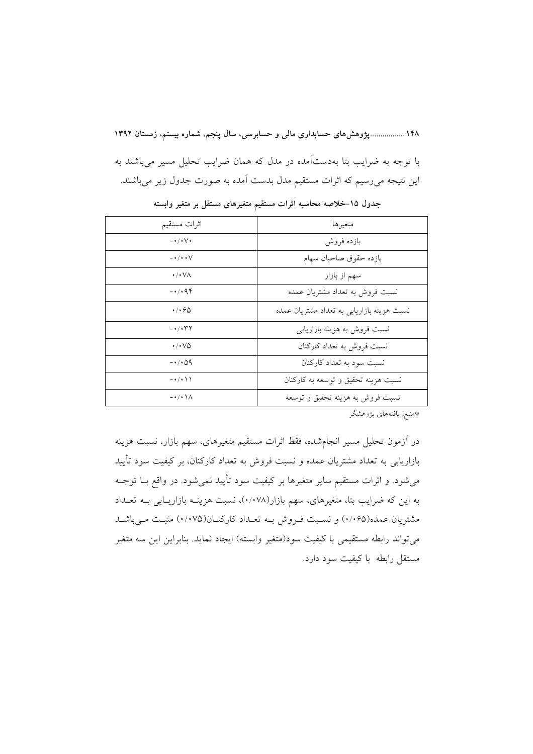۱۴۸ ................. پژوهش های حسابداری مالی و حسابرسی، سال پنجم، شماره بیستم، زمستان ۱۳۹۲ با توجه به ضرایب بتا بهدستآمده در مدل که همان ضرایب تحلیل مسیر می باشند به این نتیجه میررسیم که اثرات مستقیم مدل بدست آمده به صورت جدول زیر می باشند.

| اثرات مستقيم                          | متغيرها                                    |
|---------------------------------------|--------------------------------------------|
| $ \cdot$ $/$ $\cdot$ $\vee$ $\cdot$   | بازده فروش                                 |
| $ \cdot$ / $\cdot$ $\cdot$ $\vee$     | بازده حقوق صاحبان سهام                     |
| $\cdot/\cdot\,\forall\wedge$          | سهم از بازار                               |
| $-4.44$                               | نسبت فروش به تعداد مشتريان عمده            |
| ۰/۰۶۵                                 | نسبت هزینه بازاریابی به تعداد مشتریان عمده |
| -۰/۰۳۲                                | نسبت فروش به هزینه بازاریابی               |
| ۰/۰۷۵                                 | نسبت فروش به تعداد كاركنان                 |
| -0109                                 | نسبت سود به تعداد کارکنان                  |
| $- \cdot / \cdot \setminus \setminus$ | نسبت هزینه تحقیق و توسعه به کارکنان        |
| $-\cdot$ / $\cdot \wedge$             | نسبت فروش به هزینه تحقیق و توسعه           |
|                                       |                                            |

جدول ۱۵–خلاصه محاسبه اثرات مستقيم متغيرهاى مستقل بر متغير وابسته

\*منبع: يافتههاى پژوهشگر

در آزمون تحلیل مسیر انجامشده، فقط اثرات مستقیم متغیرهای، سهم بازار، نسبت هزینه بازاریابی به تعداد مشتریان عمده و نسبت فروش به تعداد کارکنان، بر کیفیت سود تأیید می شود. و اثرات مستقیم سایر متغیرها بر کیفیت سود تأیید نمی شود. در واقع بــا توجــه به این که ضرایب بتا، متغیرهای، سهم بازار(۰/۰۷۸)، نسبت هزینـه بازاریـابی بـه تعـداد مشتریان عمده(۰/۰۶۵) و نسـبت فـروش بــه تعـداد کارکنــان(۰/۰۷۵) مثبــت مــی باشــد مي تواند رابطه مستقيمي با كيفيت سود(متغير وابسته) ايجاد نمايد. بنابراين اين سه متغير مستقل رابطه باكيفيت سود دارد.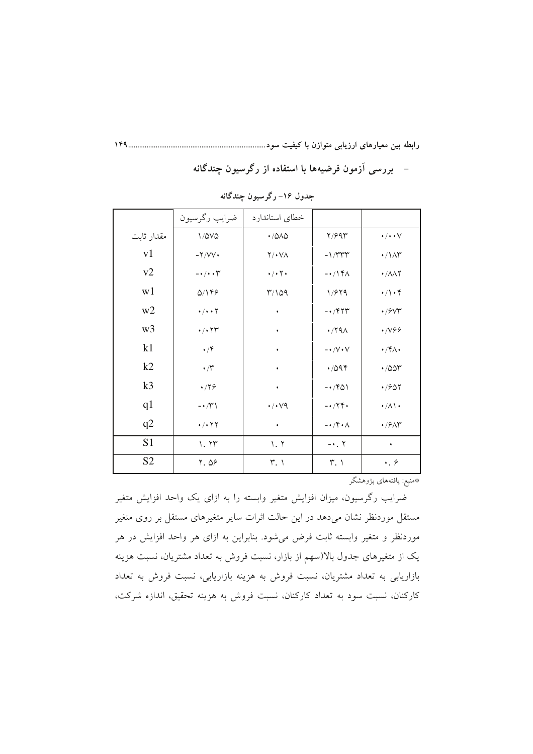– بررسی آزمون فرضیهها با استفاده از رگرسیون چندگانه

|                | ضرايب رگرسيون                                 | خطاى استاندارد             |                                         |                                  |
|----------------|-----------------------------------------------|----------------------------|-----------------------------------------|----------------------------------|
| مقدار ثابت     | $1/\Delta V\Delta$                            | $\cdot$ /0/0               | Y/99r                                   | $\cdot/\cdot\cdot\vee$           |
| v1             | $-Y/VV$                                       | $Y/\cdot$ $V\Lambda$       | $-1/TTT$                                | $\cdot / \Lambda r$              |
| v2             | $ \cdot$ / $\cdot$ $\uparrow$                 | $\cdot/\cdot$ $\cdot$      | $-\cdot/14\pi$                          | $\cdot$ / $\wedge \wedge \wedge$ |
| w1             | Q/149                                         | 0۹/۱۳                      | 1/979                                   | $\cdot/\cdot$ ۴                  |
| w2             | $\cdot/\cdot\cdot\mathsf{Y}$                  | ٠                          | $-1$ / $\uparrow$ $\uparrow$            | $\cdot$ / $\sqrt{2}$             |
| w <sub>3</sub> | $\cdot$ / $\cdot$ $\uparrow \uparrow$         | ٠                          | $\cdot$ /۲۹۸                            | $\cdot$ /V99                     |
| k1             | $\cdot$ /۴                                    | ٠                          | $- \star / \mathrm{V} \star \mathrm{V}$ | $\cdot$ /۴ $\wedge$              |
| k2             | $\boldsymbol{\cdot} / \boldsymbol{\curlyvee}$ | ٠                          | .7094                                   | $\cdot$ /00 $\tau$               |
| k <sub>3</sub> | $\cdot$ /۲۶                                   | ٠                          | $-1401$                                 | $\cdot$ / $\approx$ $\circ$      |
| q1             | $ \sqrt{r}$                                   | $\cdot$ / $\cdot$ $\vee$ 9 | $-174.$                                 | $\cdot/\lambda\setminus\cdot$    |
| q2             | $\cdot$ / $\cdot$ $\uparrow$ $\uparrow$       | $\bullet$                  | $-\cdot$ /۴۰۸                           | $\cdot$ / $\rho$ $\wedge$ $\sim$ |
| S <sub>1</sub> | 1.77                                          | 1.7                        | $-$ . $\Upsilon$                        | $\bullet$                        |
| S <sub>2</sub> | 7.09                                          | $\tilde{r}$ .              | $\mathsf{r}$ .                          | $\cdot$ . $\circ$                |

جدول ۱۶– رگرسیون چندگانه

\*منبع: يافتههاي پژوهشگر

ضرایب رگرسیون، میزان افزایش متغیر وابسته را به ازای یک واحد افزایش متغیر مستقل موردنظر نشان میدهد در این حالت اثرات سایر متغیرهای مستقل بر روی متغیر موردنظر و متغیر وابسته ثابت فرض میشود. بنابراین به ازای هر واحد افزایش در هر یک از متغیرهای جدول بالا(سهم از بازار، نسبت فروش به تعداد مشتریان، نسبت هزینه بازاریابی به تعداد مشتریان، نسبت فروش به هزینه بازاریابی، نسبت فروش به تعداد کارکنان، نسبت سود به تعداد کارکنان، نسبت فروش به هزینه تحقیق، اندازه شرکت،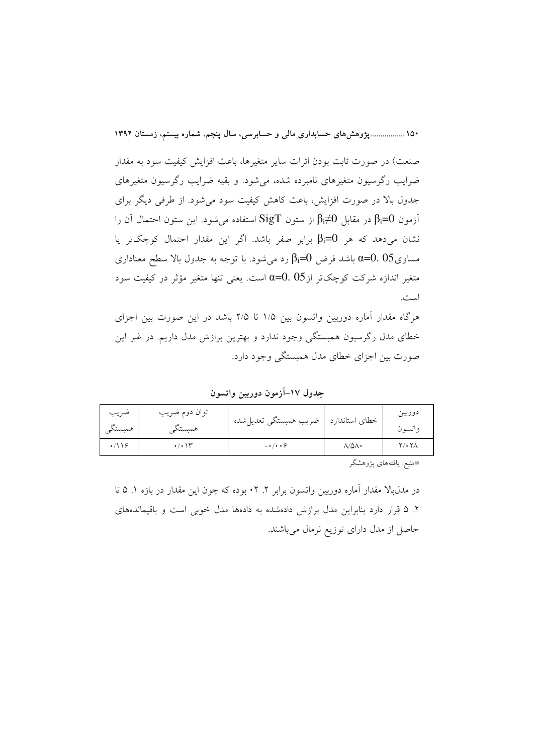۱۵۰ ....................وژوهشهای حسابداری مالی و حسابرسی، سال ینجم، شماره بیستم، زمستان ۱۳۹۲

صنعت) در صورت ثابت بودن اثرات سایر متغیرها، باعث افزایش کیفیت سود به مقدار ضرایب رگرسیون متغیرهای نامبرده شده، می شود. و بقیه ضرایب رگرسیون متغیرهای جدول بالا در صورت افزایش، باعث کاهش کیفیت سود می شود. از طرفی دیگر برای آزمون β<sub>i</sub>=0 در مقابل β<sub>i</sub>≠0 از ستون SigT استفاده میشود. این ستون احتمال آن را نشان می دهد که هر  $\beta_i = 0$  برابر صفر باشد. اگر این مقدار احتمال کوچک تر یا وساوی $0.05$  باشد فرض  $\beta_{\rm i}$  رد میشود. با توجه به جدول بالا سطح معناداری  $\alpha{=}0.05$ متغیر اندازه شرکت کوچکتر از $\alpha$ =0. 05است. یعنی تنها متغیر مؤثر در کیفیت سود است.

هرگاه مقدار آماره دوربین واتسون بین ۱/۵ تا ۲/۵ باشد در این صورت بین اجزای خطای مدل رگرسیون همبستگی وجود ندارد و بهترین برازش مدل داریم. در غیر این صورت بین اجزای خطای مدل همبستگی وجود دارد.

جدول ١٧–آزمون دوربين واتسون

| ضريب<br>همبستكى | توان دوم ضريب<br>همستكے | خطای استاندارد   ضریب همبستگی تعدیل شده |       | دوربين<br>واتسون |
|-----------------|-------------------------|-----------------------------------------|-------|------------------|
|                 | ۱۲، ۱۲                  | $-1$                                    | ۸/۵۸۰ | ۲/۰۲۸            |

\*منبع: يافتههاى پژوهشگر

در مدلبالا مقدار اَماره دوربین واتسون برابر ۲. ۲۰ بوده که چون این مقدار در بازه ۱. ۵ تا ۲. ۵ قرار دارد بنابراین مدل برازش دادهشده به دادهها مدل خوبی است و باقیماندههای حاصل از مدل دارای توزیع نرمال میباشند.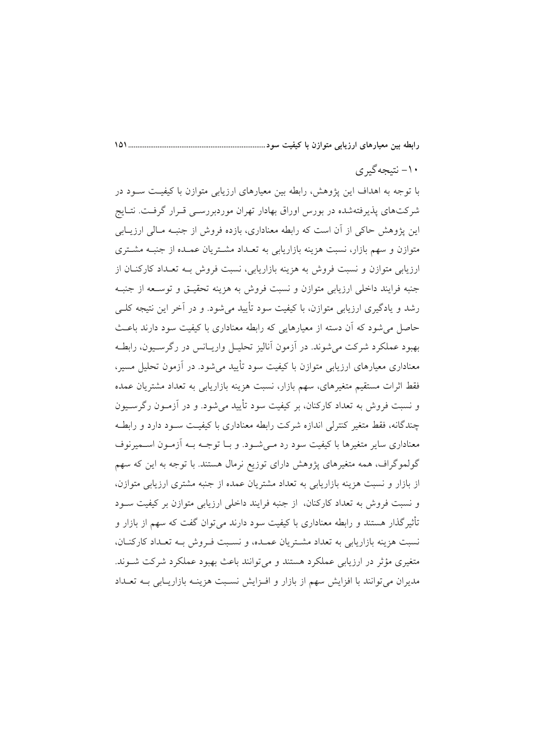#### ۱۰- نتىجەگىرى

با توجه به اهداف این پژوهش، رابطه بین معیارهای ارزیابی متوازن با کیفیـت سـود در شرکتهای پذیرفتهشده در بورس اوراق بهادار تهران موردبررسمی قـرار گرفـت. نتـایج این پژوهش حاکی از آن است که رابطه معناداری، بازده فروش از جنبـه مـالی ارزیــابی متوازن و سهم بازار، نسبت هزینه بازاریابی به تعـداد مشـتریان عمـده از جنبـه مشـتری ارزیابی متوازن و نسبت فروش به هزینه بازاریابی، نسبت فروش بــه تعــداد کارکنــان از جنبه فرايند داخلي ارزيابي متوازن و نسبت فروش به هزينه تحقيــق و توســعه از جنبــه رشد و یادگیری ارزیابی متوازن، با کیفیت سود تأیید می شود. و در آخر این نتیجه کلبی حاصل می شود که آن دسته از معیارهایی که رابطه معناداری با کیفیت سود دارند باعث بهبود عملکرد شرکت می شوند. در آزمون آنالیز تحلیـل واریــانس در رگرســیون، رابطــه معناداری معیارهای ارزیابی متوازن با کیفیت سود تأیید می شود. در آزمون تحلیل مسیر، فقط اثرات مستقیم متغیرهای، سهم بازار، نسبت هزینه بازاریابی به تعداد مشتریان عمده و نسبت فروش به تعداد کارکنان، بر کیفیت سود تأیید میشود. و در اَزمـون رگرســیون چندگانه، فقط متغیر کنترلی اندازه شرکت رابطه معناداری با کیفیت سـود دارد و رابطـه معناداری سایر متغیرها با کیفیت سود رد مـی شـود. و بـا توجـه بـه آزمـون اســمیرنوف گولموگراف، همه متغیرهای پژوهش دارای توزیع نرمال هستند. با توجه به این که سهم از بازار و نسبت هزینه بازاریابی به تعداد مشتریان عمده از جنبه مشتری ارزیابی متوازن، و نسبت فروش به تعداد کارکنان، از جنبه فرایند داخلی ارزیابی متوازن بر کیفیت سـود تأثیر گذار هستند و رابطه معناداری با کیفیت سود دارند می توان گفت که سهم از بازار و نسبت هزینه بازاریابی به تعداد مشتریان عمـده، و نسـبت فـروش بـه تعـداد كاركنـان، متغیری مؤثر در ارزیابی عملکرد هستند و میتوانند باعث بهبود عملکرد شرکت شـوند. مدیران می توانند با افزایش سهم از بازار و افـزایش نسـبت هزینــه بازاریــابی بــه تعــداد

 $\sqrt{21}$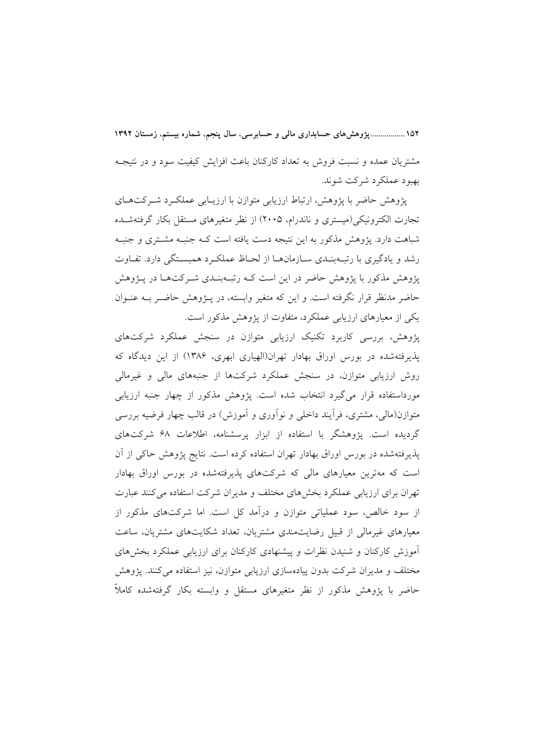١٥٢ ..................يژوهش هاي حسابداري مالي و حسابرسي، سال ينجم، شماره بيستم، زمستان ١٣٩٢ مشتریان عمده و نسبت فروش به تعداد کارکنان باعث افزایش کیفیت سود و در نتیجـه بهبود عملکرد شرکت شوند.

یژوهش حاضر با پژوهش، ارتباط ارزیابی متوازن با ارزیــابی عملکــرد شــرکتهــای تجارت الکترونیکی(میستری و ناندرام، ۲۰۰۵) از نظر متغیرهای مستقل بکار گرفتهشـده شباهت دارد. پژوهش مذکور به این نتیجه دست یافته است کـه جنبـه مشـتری و جنبـه رشد و یادگیری با رتبهبنـدی سـازمانهـا از لحـاظ عملکـرد همبسـتگی دارد. تفـاوت یژوهش مذکور با پژوهش حاضر در این است کـه رتبـهبنـدی شـرکتهـا در پـژوهش حاضر مدنظر قرار نگرفته است. و این که متغیر وابسته، در پـژوهش حاضـر بــه عنــوان یکی از معیارهای ارزیابی عملکرد، متفاوت از پژوهش مذکور است.

پژوهش، بررسی کاربرد تکنیک ارزیابی متوازن در سنجش عملکرد شرکتهای پذیرفتهشده در بورس اوراق بهادار تهران(الهپاری ابهری، ۱۳۸۶) از این دیدگاه که روش ارزیابی متوازن، در سنجش عملکرد شرکتها از جنبههای مالی و غیرمالی مورداستفاده قرار میگیرد انتخاب شده است. پژوهش مذکور از چهار جنبه ارزیابی متوازن(مالی، مشتری، فرأیند داخلی و نوأوری و أموزش) در قالب چهار فرضیه بررسی گردیده است. پژوهشگر با استفاده از ابزار پرسشنامه، اطلاعات ۶۸ شرکتهای پذیرفتهشده در بورس اوراق بهادار تهران استفاده کرده است. نتایج پژوهش حاکی از أن است که مهترین معیارهای مالی که شرکتهای پذیرفتهشده در بورس اوراق بهادار تهران برای ارزیابی عملکرد بخشهای مختلف و مدیران شرکت استفاده می کنند عبارت از سود خالص، سود عملیاتی متوازن و درآمد کل است. اما شرکتهای مذکور از معیارهای غیرمالی از قبیل رضایتمندی مشتریان، تعداد شکایتهای مشتریان، ساعت آموزش کارکنان و شنیدن نظرات و پیشنهادی کارکنان برای ارزیابی عملکرد بخشهای مختلف و مدیران شرکت بدون پیادهسازی ارزیابی متوازن، نیز استفاده میکنند. پژوهش حاضر با یژوهش مذکور از نظر متغیرهای مستقل و وابسته بکار گرفتهشده کاملاً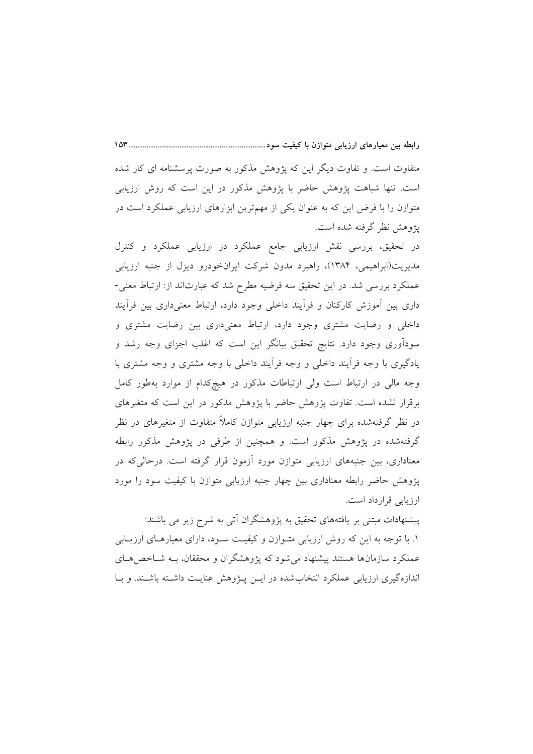متفاوت است. و تفاوت دیگر این که پژوهش مذکور به صورت پرسشنامه ای کار شده است. تنها شباهت پژوهش حاضر با پژوهش مذکور در این است که روش ارزیابی متوازن را با فرض این که به عنوان یکی از مهمترین ابزارهای ارزیابی عملکرد است در پژوهش نظر گرفته شده است.

در تحقیق، بررسی نقش ارزیابی جامع عملکرد در ارزیابی عملکرد و کنترل مدیریت(ابراهیمی، ۱۳۸۴)، راهبرد مدون شرکت ایرانخودرو دیزل از جنبه ارزیابی عملکرد بررسی شد. در این تحقیق سه فرضیه مطرح شد که عبارتاند از: ارتباط معنی-داری بین آموزش کارکنان و فراًیند داخلی وجود دارد، ارتباط معنیداری بین فراًیند داخلی و رضایت مشتری وجود دارد، ارتباط معنیداری بین رضایت مشتری و سوداَوری وجود دارد. نتایج تحقیق بیانگر این است که اغلب اجزای وجه رشد و یادگیری با وجه فرأیند داخلی و وجه فرأیند داخلی با وجه مشتری و وجه مشتری با وجه مالی در ارتباط است ولی ارتباطات مذکور در هیچکدام از موارد بهطور کامل برقرار نشده است. تفاوت پژوهش حاضر با پژوهش مذکور در این است که متغیرهای در نظر گرفتهشده برای چهار جنبه ارزیابی متوازن کاملاً متفاوت از متغیرهای در نظر گرفتهشده در یژوهش مذکور است. و همچنین از طرفی در یژوهش مذکور رابطه معناداری، بین جنبههای ارزیابی متوازن مورد آزمون قرار گرفته است. درحالی که در یژوهش حاضر رابطه معناداری بین چهار جنبه ارزیابی متوازن با کیفیت سود را مورد ارزيابي قرارداد است.

پیشنهادات مبتنی بر یافتههای تحقیق به پژوهشگران آتی به شرح زیر می باشند: ۱. با توجه به این که روش ارزیابی متـوازن و کیفیـت سـود، دارای معیارهـای ارزیـابی عملکرد سازمانها هستند پیشنهاد می شود که پژوهشگران و محققان، بــه شــاخص هــای اندازهگیری ارزیابی عملکرد انتخابشده در ایــن پــژوهش عنایــت داشــته باشــند. و بــا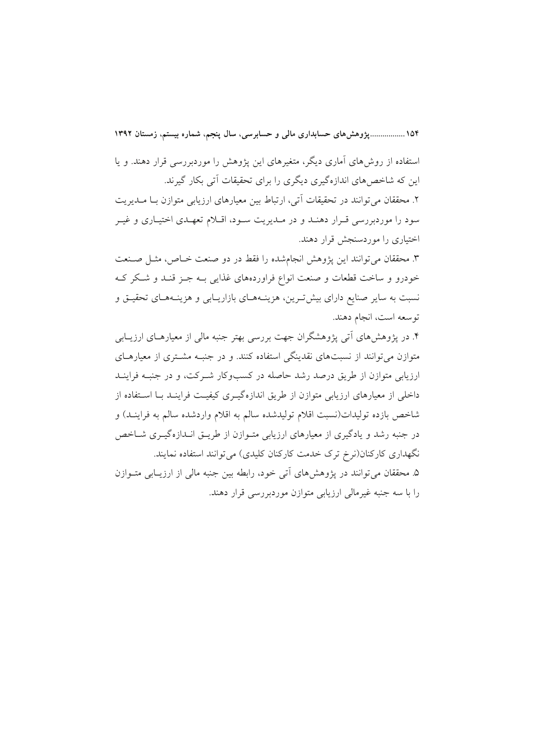۱۵۴ ....................وژوهشهای حسابداری مالی و حسابرسی، سال ینجم، شماره بیستم، زمستان ۱۳۹۲

استفاده از روش های آماری دیگر، متغیرهای این پژوهش را موردبررسی قرار دهند. و پا این که شاخصهای اندازهگیری دیگری را برای تحقیقات آتی بکار گیرند. ۲. محققان می توانند در تحقیقات آتی، ارتباط بین معیارهای ارزیابی متوازن بـا مــدیریت سود را موردبررسی قـرار دهنـد و در مـديريت سـود، اقـلام تعهـدي اختيـاري و غيـر اختیاری را موردسنجش قرار دهند.

٣. محققان مي توانند اين يژوهش انجامشده را فقط در دو صنعت خــاص، مثــل صــنعت خودرو و ساخت قطعات و صنعت انواع فراوردههای غذایی بـه جـز قنـد و شـكر كـه نسبت به سایر صنایع دارای بیش تـرین، هزینــههــای بازاریــابی و هزینــههــای تحقیــق و توسعه است، انجام دهند.

۴. در پژوهشهای آتی پژوهشگران جهت بررسی بهتر جنبه مالی از معیارهـای ارزیــابی متوازن میتوانند از نسبتهای نقدینگی استفاده کنند. و در جنبـه مشــتری از معیارهــای ارزیابی متوازن از طریق درصد رشد حاصله در کسبوکار شـرکت، و در جنبـه فراینــد داخلی از معیارهای ارزیابی متوازن از طریق اندازهگیـری کیفیـت فراینـد بـا اسـتفاده از شاخص بازده تولیدات(نسبت اقلام تولیدشده سالم به اقلام واردشده سالم به فراینـد) و در جنبه رشد و یادگیری از معیارهای ارزیابی متـوازن از طریـق انـدازهگیـری شـاخص نگهداری کارکنان(نرخ ترک خدمت کارکنان کلیدی) می توانند استفاده نمایند. ۵. محققان می توانند در پژوهشهای آتی خود، رابطه بین جنبه مالی از ارزیـابی متــوازن را با سه جنبه غیرمالی ارزیابی متوازن موردبررسی قرار دهند.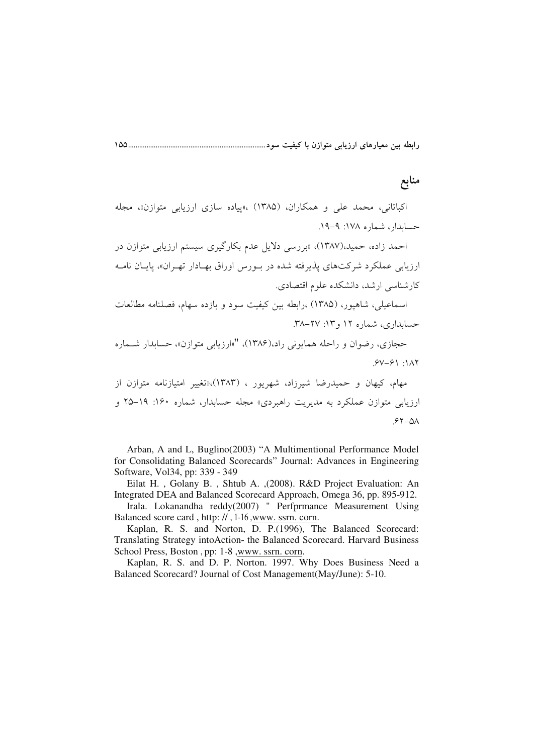رابطه بین معیارهای ارزیابی متوازن با کیفیت سود....................

## منابع

اکباتانی، محمد علی و همکاران، (۱۳۸۵) ،«پیاده سازی ارزیابی متوازن»، مجله حسابدار، شماره ۱۷۸: ۹-۱۹.

احمد زاده، حمید،(۱۳۸۷)، «بررسی دلایل عدم بکارگیری سیستم ارزیابی متوازن در ارزيابي عملكرد شركتهاي پذيرفته شده در بـورس اوراق بهـادار تهـران»، پايـان نامـه كارشناسي ارشد، دانشكده علوم اقتصادي.

اسماعیلی، شاهیور، (۱۳۸۵) ،رابطه بین کیفیت سود و بازده سهام، فصلنامه مطالعات حسابداري، شماره ١٢ و ١٣: ٢٧-٣٨.

حجازي، رضوان و راحله همايوني راد،(۱۳۸۶)، "«ارزيابي متوازن»، حسابدار شـماره  $5V - 51$ : 117

مهام، کیهان و حمیدرضا شیرزاد، شهریور ، (۱۳۸۳)،«تغییر امتیازنامه متوازن از ارزیابی متوازن عملکرد به مدیریت راهبردی» مجله حسابدار، شماره ۱۶۰: ۱۹–۲۵ و  $57 - 01$ 

Arban, A and L. Buglino(2003) "A Multimentional Performance Model for Consolidating Balanced Scorecards" Journal: Advances in Engineering Software, Vol34, pp: 339 - 349

Eilat H., Golany B., Shtub A., (2008). R&D Project Evaluation: An Integrated DEA and Balanced Scorecard Approach, Omega 36, pp. 895-912.

Irala. Lokanandha reddy(2007) " Perfprmance Measurement Using Balanced score card, http://, 1-16, www. ssrn. corn.

Kaplan, R. S. and Norton, D. P.(1996), The Balanced Scorecard: Translating Strategy into Action- the Balanced Scorecard. Harvard Business School Press, Boston, pp: 1-8, www. ssrn. corn.

Kaplan, R. S. and D. P. Norton. 1997. Why Does Business Need a Balanced Scorecard? Journal of Cost Management(May/June): 5-10.

 $\Delta \Delta$